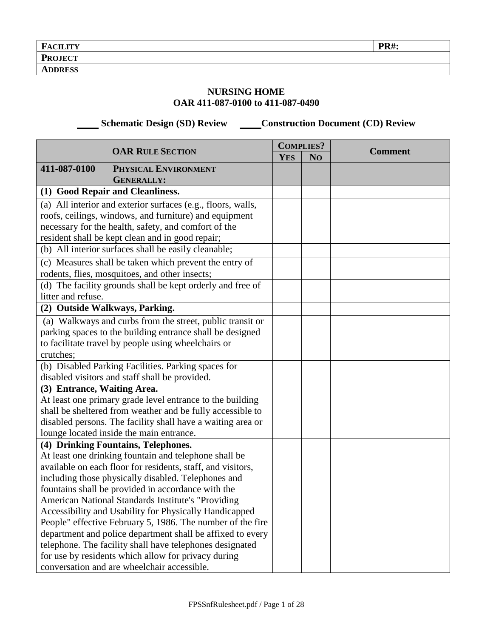| <b>D</b><br><b>FACILITY</b> | <b>PR#:</b> |
|-----------------------------|-------------|
| <b>PROJECT</b>              |             |
| <b>ADDRESS</b>              |             |

## **NURSING HOME OAR 411-087-0100 to 411-087-0490**

 **Schematic Design (SD) Review Construction Document (CD) Review** 

|                             | <b>OAR RULE SECTION</b>                                      |            | <b>COMPLIES?</b> | <b>Comment</b> |
|-----------------------------|--------------------------------------------------------------|------------|------------------|----------------|
|                             |                                                              | <b>YES</b> | N <sub>O</sub>   |                |
| 411-087-0100                | PHYSICAL ENVIRONMENT                                         |            |                  |                |
|                             | <b>GENERALLY:</b>                                            |            |                  |                |
|                             | (1) Good Repair and Cleanliness.                             |            |                  |                |
|                             | (a) All interior and exterior surfaces (e.g., floors, walls, |            |                  |                |
|                             | roofs, ceilings, windows, and furniture) and equipment       |            |                  |                |
|                             | necessary for the health, safety, and comfort of the         |            |                  |                |
|                             | resident shall be kept clean and in good repair;             |            |                  |                |
|                             | (b) All interior surfaces shall be easily cleanable;         |            |                  |                |
|                             | (c) Measures shall be taken which prevent the entry of       |            |                  |                |
|                             | rodents, flies, mosquitoes, and other insects;               |            |                  |                |
|                             | (d) The facility grounds shall be kept orderly and free of   |            |                  |                |
| litter and refuse.          |                                                              |            |                  |                |
|                             | (2) Outside Walkways, Parking.                               |            |                  |                |
|                             | (a) Walkways and curbs from the street, public transit or    |            |                  |                |
|                             | parking spaces to the building entrance shall be designed    |            |                  |                |
|                             | to facilitate travel by people using wheelchairs or          |            |                  |                |
| crutches;                   |                                                              |            |                  |                |
|                             | (b) Disabled Parking Facilities. Parking spaces for          |            |                  |                |
|                             | disabled visitors and staff shall be provided.               |            |                  |                |
| (3) Entrance, Waiting Area. |                                                              |            |                  |                |
|                             | At least one primary grade level entrance to the building    |            |                  |                |
|                             | shall be sheltered from weather and be fully accessible to   |            |                  |                |
|                             | disabled persons. The facility shall have a waiting area or  |            |                  |                |
|                             | lounge located inside the main entrance.                     |            |                  |                |
|                             | (4) Drinking Fountains, Telephones.                          |            |                  |                |
|                             | At least one drinking fountain and telephone shall be        |            |                  |                |
|                             | available on each floor for residents, staff, and visitors,  |            |                  |                |
|                             | including those physically disabled. Telephones and          |            |                  |                |
|                             | fountains shall be provided in accordance with the           |            |                  |                |
|                             | <b>American National Standards Institute's "Providing</b>    |            |                  |                |
|                             | Accessibility and Usability for Physically Handicapped       |            |                  |                |
|                             | People" effective February 5, 1986. The number of the fire   |            |                  |                |
|                             | department and police department shall be affixed to every   |            |                  |                |
|                             | telephone. The facility shall have telephones designated     |            |                  |                |
|                             | for use by residents which allow for privacy during          |            |                  |                |
|                             | conversation and are wheelchair accessible.                  |            |                  |                |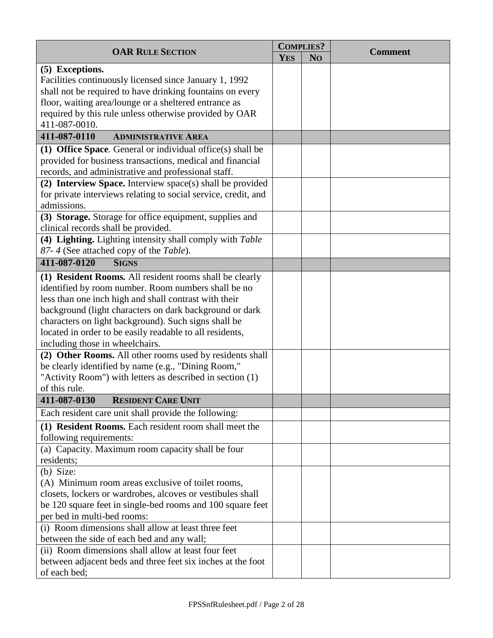| <b>OAR RULE SECTION</b><br><b>Comment</b>                      |  |
|----------------------------------------------------------------|--|
| <b>YES</b><br>N <sub>O</sub>                                   |  |
| (5) Exceptions.                                                |  |
| Facilities continuously licensed since January 1, 1992         |  |
| shall not be required to have drinking fountains on every      |  |
| floor, waiting area/lounge or a sheltered entrance as          |  |
| required by this rule unless otherwise provided by OAR         |  |
| 411-087-0010.                                                  |  |
| 411-087-0110<br><b>ADMINISTRATIVE AREA</b>                     |  |
| (1) Office Space. General or individual office $(s)$ shall be  |  |
| provided for business transactions, medical and financial      |  |
| records, and administrative and professional staff.            |  |
| (2) Interview Space. Interview space(s) shall be provided      |  |
| for private interviews relating to social service, credit, and |  |
| admissions.                                                    |  |
| (3) Storage. Storage for office equipment, supplies and        |  |
| clinical records shall be provided.                            |  |
| (4) Lighting. Lighting intensity shall comply with Table       |  |
| 87-4 (See attached copy of the Table).                         |  |
| 411-087-0120<br><b>SIGNS</b>                                   |  |
| (1) Resident Rooms. All resident rooms shall be clearly        |  |
| identified by room number. Room numbers shall be no            |  |
| less than one inch high and shall contrast with their          |  |
| background (light characters on dark background or dark        |  |
| characters on light background). Such signs shall be           |  |
| located in order to be easily readable to all residents,       |  |
| including those in wheelchairs.                                |  |
| (2) Other Rooms. All other rooms used by residents shall       |  |
| be clearly identified by name (e.g., "Dining Room,"            |  |
| "Activity Room") with letters as described in section (1)      |  |
| of this rule.                                                  |  |
| 411-087-0130<br><b>RESIDENT CARE UNIT</b>                      |  |
| Each resident care unit shall provide the following:           |  |
| (1) Resident Rooms. Each resident room shall meet the          |  |
| following requirements:                                        |  |
| (a) Capacity. Maximum room capacity shall be four              |  |
| residents;                                                     |  |
| $(b)$ Size:                                                    |  |
| (A) Minimum room areas exclusive of toilet rooms,              |  |
| closets, lockers or wardrobes, alcoves or vestibules shall     |  |
| be 120 square feet in single-bed rooms and 100 square feet     |  |
| per bed in multi-bed rooms:                                    |  |
| (i) Room dimensions shall allow at least three feet            |  |
| between the side of each bed and any wall;                     |  |
| (ii) Room dimensions shall allow at least four feet            |  |
| between adjacent beds and three feet six inches at the foot    |  |
| of each bed;                                                   |  |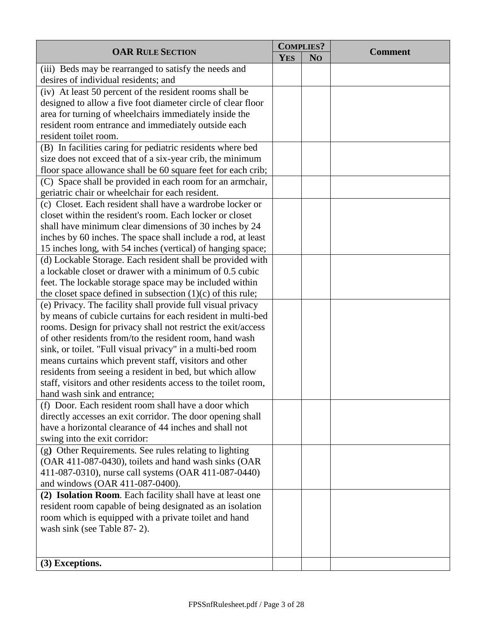| <b>OAR RULE SECTION</b>                                        |  | <b>COMPLIES?</b> | <b>Comment</b> |
|----------------------------------------------------------------|--|------------------|----------------|
|                                                                |  | N <sub>O</sub>   |                |
| (iii) Beds may be rearranged to satisfy the needs and          |  |                  |                |
| desires of individual residents; and                           |  |                  |                |
| (iv) At least 50 percent of the resident rooms shall be        |  |                  |                |
| designed to allow a five foot diameter circle of clear floor   |  |                  |                |
| area for turning of wheelchairs immediately inside the         |  |                  |                |
| resident room entrance and immediately outside each            |  |                  |                |
| resident toilet room.                                          |  |                  |                |
| (B) In facilities caring for pediatric residents where bed     |  |                  |                |
| size does not exceed that of a six-year crib, the minimum      |  |                  |                |
| floor space allowance shall be 60 square feet for each crib;   |  |                  |                |
| (C) Space shall be provided in each room for an armchair,      |  |                  |                |
| geriatric chair or wheelchair for each resident.               |  |                  |                |
| (c) Closet. Each resident shall have a wardrobe locker or      |  |                  |                |
| closet within the resident's room. Each locker or closet       |  |                  |                |
| shall have minimum clear dimensions of 30 inches by 24         |  |                  |                |
| inches by 60 inches. The space shall include a rod, at least   |  |                  |                |
| 15 inches long, with 54 inches (vertical) of hanging space;    |  |                  |                |
| (d) Lockable Storage. Each resident shall be provided with     |  |                  |                |
| a lockable closet or drawer with a minimum of 0.5 cubic        |  |                  |                |
| feet. The lockable storage space may be included within        |  |                  |                |
| the closet space defined in subsection $(1)(c)$ of this rule;  |  |                  |                |
| (e) Privacy. The facility shall provide full visual privacy    |  |                  |                |
| by means of cubicle curtains for each resident in multi-bed    |  |                  |                |
| rooms. Design for privacy shall not restrict the exit/access   |  |                  |                |
| of other residents from/to the resident room, hand wash        |  |                  |                |
| sink, or toilet. "Full visual privacy" in a multi-bed room     |  |                  |                |
| means curtains which prevent staff, visitors and other         |  |                  |                |
| residents from seeing a resident in bed, but which allow       |  |                  |                |
| staff, visitors and other residents access to the toilet room, |  |                  |                |
| hand wash sink and entrance;                                   |  |                  |                |
| (f) Door. Each resident room shall have a door which           |  |                  |                |
| directly accesses an exit corridor. The door opening shall     |  |                  |                |
| have a horizontal clearance of 44 inches and shall not         |  |                  |                |
| swing into the exit corridor:                                  |  |                  |                |
| (g) Other Requirements. See rules relating to lighting         |  |                  |                |
| (OAR 411-087-0430), toilets and hand wash sinks (OAR           |  |                  |                |
| 411-087-0310), nurse call systems (OAR 411-087-0440)           |  |                  |                |
| and windows (OAR 411-087-0400).                                |  |                  |                |
| (2) Isolation Room. Each facility shall have at least one      |  |                  |                |
| resident room capable of being designated as an isolation      |  |                  |                |
| room which is equipped with a private toilet and hand          |  |                  |                |
| wash sink (see Table 87-2).                                    |  |                  |                |
|                                                                |  |                  |                |
|                                                                |  |                  |                |
| (3) Exceptions.                                                |  |                  |                |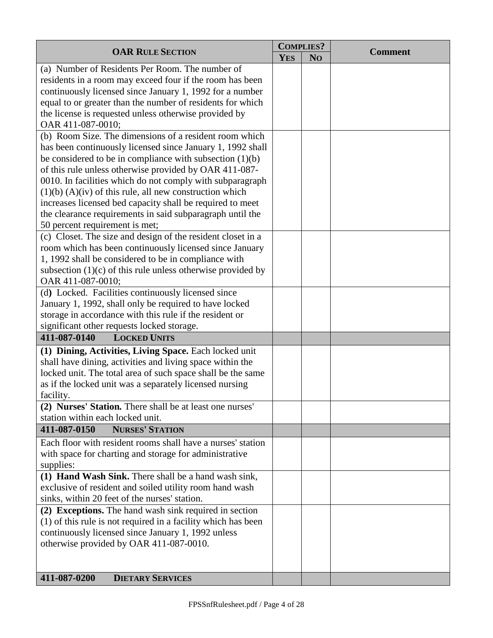| <b>OAR RULE SECTION</b>                                       |            | <b>COMPLIES?</b> |                |
|---------------------------------------------------------------|------------|------------------|----------------|
|                                                               | <b>YES</b> | N <sub>O</sub>   | <b>Comment</b> |
| (a) Number of Residents Per Room. The number of               |            |                  |                |
| residents in a room may exceed four if the room has been      |            |                  |                |
| continuously licensed since January 1, 1992 for a number      |            |                  |                |
| equal to or greater than the number of residents for which    |            |                  |                |
| the license is requested unless otherwise provided by         |            |                  |                |
| OAR 411-087-0010;                                             |            |                  |                |
| (b) Room Size. The dimensions of a resident room which        |            |                  |                |
|                                                               |            |                  |                |
| has been continuously licensed since January 1, 1992 shall    |            |                  |                |
| be considered to be in compliance with subsection $(1)(b)$    |            |                  |                |
| of this rule unless otherwise provided by OAR 411-087-        |            |                  |                |
| 0010. In facilities which do not comply with subparagraph     |            |                  |                |
| $(1)(b)$ $(A)(iv)$ of this rule, all new construction which   |            |                  |                |
| increases licensed bed capacity shall be required to meet     |            |                  |                |
| the clearance requirements in said subparagraph until the     |            |                  |                |
| 50 percent requirement is met;                                |            |                  |                |
| (c) Closet. The size and design of the resident closet in a   |            |                  |                |
| room which has been continuously licensed since January       |            |                  |                |
| 1, 1992 shall be considered to be in compliance with          |            |                  |                |
| subsection $(1)(c)$ of this rule unless otherwise provided by |            |                  |                |
| OAR 411-087-0010;                                             |            |                  |                |
| (d) Locked. Facilities continuously licensed since            |            |                  |                |
| January 1, 1992, shall only be required to have locked        |            |                  |                |
| storage in accordance with this rule if the resident or       |            |                  |                |
| significant other requests locked storage.                    |            |                  |                |
| 411-087-0140<br><b>LOCKED UNITS</b>                           |            |                  |                |
| (1) Dining, Activities, Living Space. Each locked unit        |            |                  |                |
| shall have dining, activities and living space within the     |            |                  |                |
| locked unit. The total area of such space shall be the same   |            |                  |                |
| as if the locked unit was a separately licensed nursing       |            |                  |                |
| facility.                                                     |            |                  |                |
| (2) Nurses' Station. There shall be at least one nurses'      |            |                  |                |
| station within each locked unit.                              |            |                  |                |
| 411-087-0150<br><b>NURSES' STATION</b>                        |            |                  |                |
| Each floor with resident rooms shall have a nurses' station   |            |                  |                |
| with space for charting and storage for administrative        |            |                  |                |
| supplies:                                                     |            |                  |                |
| (1) Hand Wash Sink. There shall be a hand wash sink,          |            |                  |                |
| exclusive of resident and soiled utility room hand wash       |            |                  |                |
| sinks, within 20 feet of the nurses' station.                 |            |                  |                |
| (2) Exceptions. The hand wash sink required in section        |            |                  |                |
| (1) of this rule is not required in a facility which has been |            |                  |                |
| continuously licensed since January 1, 1992 unless            |            |                  |                |
| otherwise provided by OAR 411-087-0010.                       |            |                  |                |
|                                                               |            |                  |                |
|                                                               |            |                  |                |
| 411-087-0200<br><b>DIETARY SERVICES</b>                       |            |                  |                |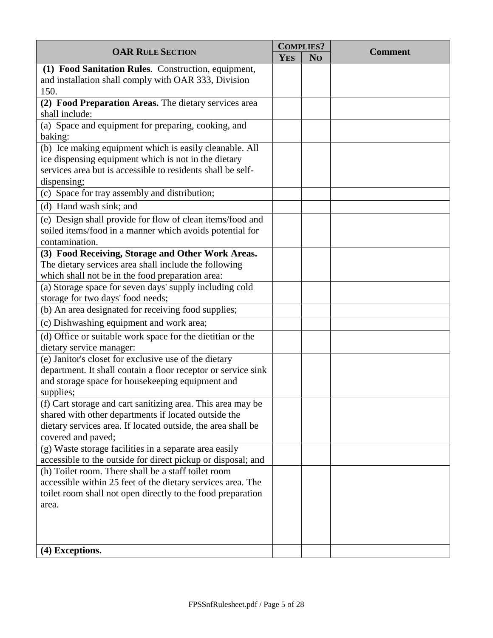|                                                                          |            | <b>COMPLIES?</b> |                |
|--------------------------------------------------------------------------|------------|------------------|----------------|
| <b>OAR RULE SECTION</b>                                                  | <b>YES</b> | N <sub>O</sub>   | <b>Comment</b> |
| (1) Food Sanitation Rules. Construction, equipment,                      |            |                  |                |
| and installation shall comply with OAR 333, Division                     |            |                  |                |
| 150.                                                                     |            |                  |                |
| (2) Food Preparation Areas. The dietary services area                    |            |                  |                |
| shall include:<br>(a) Space and equipment for preparing, cooking, and    |            |                  |                |
| baking:                                                                  |            |                  |                |
| (b) Ice making equipment which is easily cleanable. All                  |            |                  |                |
| ice dispensing equipment which is not in the dietary                     |            |                  |                |
| services area but is accessible to residents shall be self-              |            |                  |                |
| dispensing;                                                              |            |                  |                |
| (c) Space for tray assembly and distribution;                            |            |                  |                |
| (d) Hand wash sink; and                                                  |            |                  |                |
| (e) Design shall provide for flow of clean items/food and                |            |                  |                |
| soiled items/food in a manner which avoids potential for                 |            |                  |                |
| contamination.                                                           |            |                  |                |
| (3) Food Receiving, Storage and Other Work Areas.                        |            |                  |                |
| The dietary services area shall include the following                    |            |                  |                |
| which shall not be in the food preparation area:                         |            |                  |                |
| (a) Storage space for seven days' supply including cold                  |            |                  |                |
| storage for two days' food needs;                                        |            |                  |                |
| (b) An area designated for receiving food supplies;                      |            |                  |                |
| (c) Dishwashing equipment and work area;                                 |            |                  |                |
| (d) Office or suitable work space for the dietitian or the               |            |                  |                |
| dietary service manager:                                                 |            |                  |                |
| (e) Janitor's closet for exclusive use of the dietary                    |            |                  |                |
| department. It shall contain a floor receptor or service sink            |            |                  |                |
| and storage space for housekeeping equipment and                         |            |                  |                |
| supplies;<br>(f) Cart storage and cart sanitizing area. This area may be |            |                  |                |
| shared with other departments if located outside the                     |            |                  |                |
| dietary services area. If located outside, the area shall be             |            |                  |                |
| covered and paved;                                                       |            |                  |                |
| (g) Waste storage facilities in a separate area easily                   |            |                  |                |
| accessible to the outside for direct pickup or disposal; and             |            |                  |                |
| (h) Toilet room. There shall be a staff toilet room                      |            |                  |                |
| accessible within 25 feet of the dietary services area. The              |            |                  |                |
| toilet room shall not open directly to the food preparation              |            |                  |                |
| area.                                                                    |            |                  |                |
|                                                                          |            |                  |                |
|                                                                          |            |                  |                |
|                                                                          |            |                  |                |
| (4) Exceptions.                                                          |            |                  |                |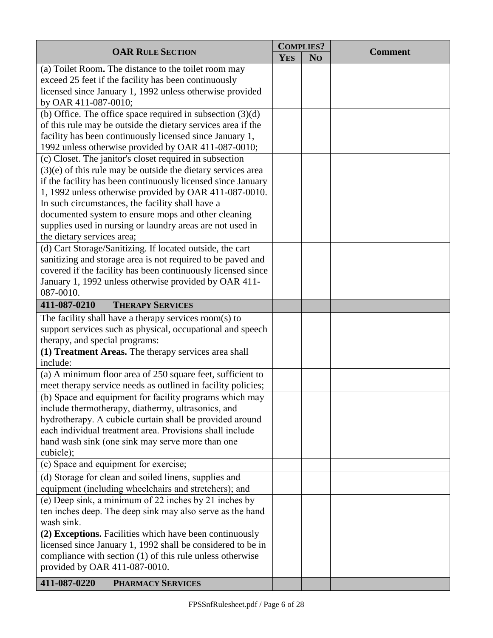| <b>OAR RULE SECTION</b>                                            |            | <b>COMPLIES?</b> | <b>Comment</b> |
|--------------------------------------------------------------------|------------|------------------|----------------|
|                                                                    | <b>YES</b> | N <sub>O</sub>   |                |
| (a) Toilet Room. The distance to the toilet room may               |            |                  |                |
| exceed 25 feet if the facility has been continuously               |            |                  |                |
| licensed since January 1, 1992 unless otherwise provided           |            |                  |                |
| by OAR 411-087-0010;                                               |            |                  |                |
| (b) Office. The office space required in subsection $(3)(d)$       |            |                  |                |
| of this rule may be outside the dietary services area if the       |            |                  |                |
| facility has been continuously licensed since January 1,           |            |                  |                |
| 1992 unless otherwise provided by OAR 411-087-0010;                |            |                  |                |
| (c) Closet. The janitor's closet required in subsection            |            |                  |                |
| $(3)(e)$ of this rule may be outside the dietary services area     |            |                  |                |
| if the facility has been continuously licensed since January       |            |                  |                |
| 1, 1992 unless otherwise provided by OAR 411-087-0010.             |            |                  |                |
| In such circumstances, the facility shall have a                   |            |                  |                |
| documented system to ensure mops and other cleaning                |            |                  |                |
| supplies used in nursing or laundry areas are not used in          |            |                  |                |
| the dietary services area;                                         |            |                  |                |
| (d) Cart Storage/Sanitizing. If located outside, the cart          |            |                  |                |
| sanitizing and storage area is not required to be paved and        |            |                  |                |
| covered if the facility has been continuously licensed since       |            |                  |                |
| January 1, 1992 unless otherwise provided by OAR 411-<br>087-0010. |            |                  |                |
| 411-087-0210<br><b>THERAPY SERVICES</b>                            |            |                  |                |
| The facility shall have a therapy services room(s) to              |            |                  |                |
| support services such as physical, occupational and speech         |            |                  |                |
| therapy, and special programs:                                     |            |                  |                |
| (1) Treatment Areas. The therapy services area shall               |            |                  |                |
| include:                                                           |            |                  |                |
| (a) A minimum floor area of 250 square feet, sufficient to         |            |                  |                |
| meet therapy service needs as outlined in facility policies;       |            |                  |                |
| (b) Space and equipment for facility programs which may            |            |                  |                |
| include thermotherapy, diathermy, ultrasonics, and                 |            |                  |                |
| hydrotherapy. A cubicle curtain shall be provided around           |            |                  |                |
| each individual treatment area. Provisions shall include           |            |                  |                |
| hand wash sink (one sink may serve more than one                   |            |                  |                |
| cubicle);                                                          |            |                  |                |
| (c) Space and equipment for exercise;                              |            |                  |                |
| (d) Storage for clean and soiled linens, supplies and              |            |                  |                |
| equipment (including wheelchairs and stretchers); and              |            |                  |                |
| (e) Deep sink, a minimum of 22 inches by 21 inches by              |            |                  |                |
| ten inches deep. The deep sink may also serve as the hand          |            |                  |                |
| wash sink.                                                         |            |                  |                |
| (2) Exceptions. Facilities which have been continuously            |            |                  |                |
| licensed since January 1, 1992 shall be considered to be in        |            |                  |                |
| compliance with section (1) of this rule unless otherwise          |            |                  |                |
| provided by OAR 411-087-0010.                                      |            |                  |                |
| 411-087-0220<br><b>PHARMACY SERVICES</b>                           |            |                  |                |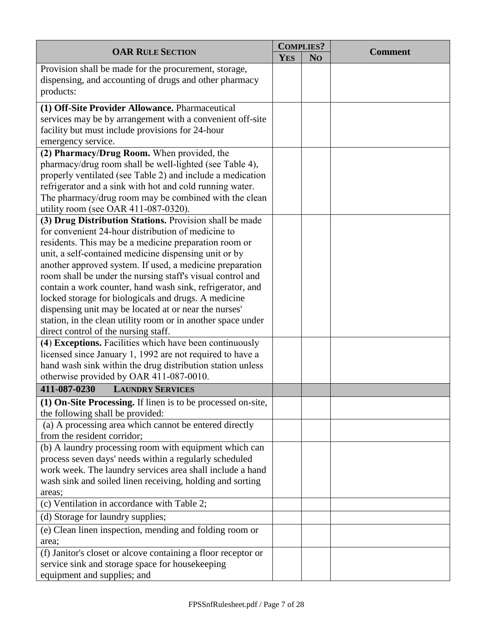| <b>OAR RULE SECTION</b>                                                                                                                                                                                                                                                                                                                                                                                                                                                                                                                                                                                                                         |            | <b>COMPLIES?</b> |                |
|-------------------------------------------------------------------------------------------------------------------------------------------------------------------------------------------------------------------------------------------------------------------------------------------------------------------------------------------------------------------------------------------------------------------------------------------------------------------------------------------------------------------------------------------------------------------------------------------------------------------------------------------------|------------|------------------|----------------|
|                                                                                                                                                                                                                                                                                                                                                                                                                                                                                                                                                                                                                                                 | <b>YES</b> | N <sub>O</sub>   | <b>Comment</b> |
| Provision shall be made for the procurement, storage,<br>dispensing, and accounting of drugs and other pharmacy<br>products:                                                                                                                                                                                                                                                                                                                                                                                                                                                                                                                    |            |                  |                |
| (1) Off-Site Provider Allowance. Pharmaceutical<br>services may be by arrangement with a convenient off-site<br>facility but must include provisions for 24-hour<br>emergency service.                                                                                                                                                                                                                                                                                                                                                                                                                                                          |            |                  |                |
| (2) Pharmacy/Drug Room. When provided, the<br>pharmacy/drug room shall be well-lighted (see Table 4),<br>properly ventilated (see Table 2) and include a medication<br>refrigerator and a sink with hot and cold running water.<br>The pharmacy/drug room may be combined with the clean<br>utility room (see OAR 411-087-0320).                                                                                                                                                                                                                                                                                                                |            |                  |                |
| (3) Drug Distribution Stations. Provision shall be made<br>for convenient 24-hour distribution of medicine to<br>residents. This may be a medicine preparation room or<br>unit, a self-contained medicine dispensing unit or by<br>another approved system. If used, a medicine preparation<br>room shall be under the nursing staff's visual control and<br>contain a work counter, hand wash sink, refrigerator, and<br>locked storage for biologicals and drugs. A medicine<br>dispensing unit may be located at or near the nurses'<br>station, in the clean utility room or in another space under<br>direct control of the nursing staff. |            |                  |                |
| (4) Exceptions. Facilities which have been continuously<br>licensed since January 1, 1992 are not required to have a<br>hand wash sink within the drug distribution station unless<br>otherwise provided by OAR 411-087-0010.                                                                                                                                                                                                                                                                                                                                                                                                                   |            |                  |                |
| 411-087-0230<br><b>LAUNDRY SERVICES</b>                                                                                                                                                                                                                                                                                                                                                                                                                                                                                                                                                                                                         |            |                  |                |
| (1) On-Site Processing. If linen is to be processed on-site,<br>the following shall be provided:                                                                                                                                                                                                                                                                                                                                                                                                                                                                                                                                                |            |                  |                |
| (a) A processing area which cannot be entered directly<br>from the resident corridor;                                                                                                                                                                                                                                                                                                                                                                                                                                                                                                                                                           |            |                  |                |
| (b) A laundry processing room with equipment which can<br>process seven days' needs within a regularly scheduled<br>work week. The laundry services area shall include a hand<br>wash sink and soiled linen receiving, holding and sorting<br>areas;                                                                                                                                                                                                                                                                                                                                                                                            |            |                  |                |
| (c) Ventilation in accordance with Table 2;                                                                                                                                                                                                                                                                                                                                                                                                                                                                                                                                                                                                     |            |                  |                |
| (d) Storage for laundry supplies;                                                                                                                                                                                                                                                                                                                                                                                                                                                                                                                                                                                                               |            |                  |                |
| (e) Clean linen inspection, mending and folding room or<br>area;                                                                                                                                                                                                                                                                                                                                                                                                                                                                                                                                                                                |            |                  |                |
| (f) Janitor's closet or alcove containing a floor receptor or<br>service sink and storage space for housekeeping<br>equipment and supplies; and                                                                                                                                                                                                                                                                                                                                                                                                                                                                                                 |            |                  |                |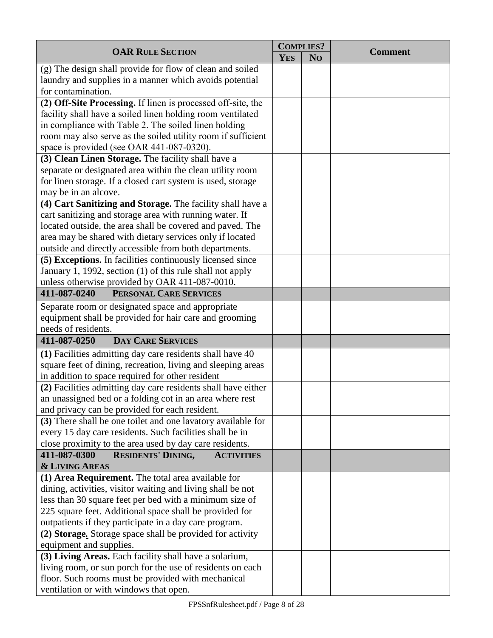| <b>OAR RULE SECTION</b>                                        |  | <b>COMPLIES?</b> |                |
|----------------------------------------------------------------|--|------------------|----------------|
|                                                                |  | N <sub>O</sub>   | <b>Comment</b> |
| (g) The design shall provide for flow of clean and soiled      |  |                  |                |
| laundry and supplies in a manner which avoids potential        |  |                  |                |
| for contamination.                                             |  |                  |                |
| (2) Off-Site Processing. If linen is processed off-site, the   |  |                  |                |
| facility shall have a soiled linen holding room ventilated     |  |                  |                |
| in compliance with Table 2. The soiled linen holding           |  |                  |                |
| room may also serve as the soiled utility room if sufficient   |  |                  |                |
| space is provided (see OAR 441-087-0320).                      |  |                  |                |
| (3) Clean Linen Storage. The facility shall have a             |  |                  |                |
| separate or designated area within the clean utility room      |  |                  |                |
| for linen storage. If a closed cart system is used, storage    |  |                  |                |
| may be in an alcove.                                           |  |                  |                |
| (4) Cart Sanitizing and Storage. The facility shall have a     |  |                  |                |
| cart sanitizing and storage area with running water. If        |  |                  |                |
| located outside, the area shall be covered and paved. The      |  |                  |                |
| area may be shared with dietary services only if located       |  |                  |                |
| outside and directly accessible from both departments.         |  |                  |                |
| (5) Exceptions. In facilities continuously licensed since      |  |                  |                |
| January 1, 1992, section (1) of this rule shall not apply      |  |                  |                |
| unless otherwise provided by OAR 411-087-0010.                 |  |                  |                |
| 411-087-0240<br>PERSONAL CARE SERVICES                         |  |                  |                |
| Separate room or designated space and appropriate              |  |                  |                |
| equipment shall be provided for hair care and grooming         |  |                  |                |
| needs of residents.                                            |  |                  |                |
| 411-087-0250<br><b>DAY CARE SERVICES</b>                       |  |                  |                |
| (1) Facilities admitting day care residents shall have 40      |  |                  |                |
| square feet of dining, recreation, living and sleeping areas   |  |                  |                |
| in addition to space required for other resident               |  |                  |                |
| (2) Facilities admitting day care residents shall have either  |  |                  |                |
| an unassigned bed or a folding cot in an area where rest       |  |                  |                |
| and privacy can be provided for each resident.                 |  |                  |                |
| (3) There shall be one toilet and one lavatory available for   |  |                  |                |
| every 15 day care residents. Such facilities shall be in       |  |                  |                |
| close proximity to the area used by day care residents.        |  |                  |                |
| 411-087-0300<br><b>RESIDENTS' DINING,</b><br><b>ACTIVITIES</b> |  |                  |                |
| <b>&amp; LIVING AREAS</b>                                      |  |                  |                |
| (1) Area Requirement. The total area available for             |  |                  |                |
| dining, activities, visitor waiting and living shall be not    |  |                  |                |
| less than 30 square feet per bed with a minimum size of        |  |                  |                |
| 225 square feet. Additional space shall be provided for        |  |                  |                |
| outpatients if they participate in a day care program.         |  |                  |                |
| (2) Storage. Storage space shall be provided for activity      |  |                  |                |
| equipment and supplies.                                        |  |                  |                |
| (3) Living Areas. Each facility shall have a solarium,         |  |                  |                |
| living room, or sun porch for the use of residents on each     |  |                  |                |
| floor. Such rooms must be provided with mechanical             |  |                  |                |
| ventilation or with windows that open.                         |  |                  |                |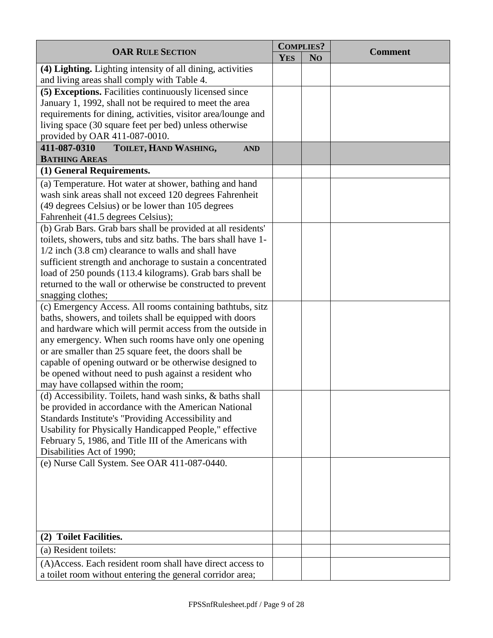| <b>OAR RULE SECTION</b>                                                                                    |            | <b>COMPLIES?</b> | <b>Comment</b> |
|------------------------------------------------------------------------------------------------------------|------------|------------------|----------------|
|                                                                                                            | <b>YES</b> | N <sub>O</sub>   |                |
| (4) Lighting. Lighting intensity of all dining, activities<br>and living areas shall comply with Table 4.  |            |                  |                |
| (5) Exceptions. Facilities continuously licensed since                                                     |            |                  |                |
| January 1, 1992, shall not be required to meet the area                                                    |            |                  |                |
| requirements for dining, activities, visitor area/lounge and                                               |            |                  |                |
| living space (30 square feet per bed) unless otherwise                                                     |            |                  |                |
| provided by OAR 411-087-0010.                                                                              |            |                  |                |
| 411-087-0310<br>TOILET, HAND WASHING,<br><b>AND</b>                                                        |            |                  |                |
| <b>BATHING AREAS</b>                                                                                       |            |                  |                |
| (1) General Requirements.                                                                                  |            |                  |                |
| (a) Temperature. Hot water at shower, bathing and hand                                                     |            |                  |                |
| wash sink areas shall not exceed 120 degrees Fahrenheit                                                    |            |                  |                |
| (49 degrees Celsius) or be lower than 105 degrees                                                          |            |                  |                |
| Fahrenheit (41.5 degrees Celsius);                                                                         |            |                  |                |
| (b) Grab Bars. Grab bars shall be provided at all residents'                                               |            |                  |                |
| toilets, showers, tubs and sitz baths. The bars shall have 1-                                              |            |                  |                |
| 1/2 inch (3.8 cm) clearance to walls and shall have                                                        |            |                  |                |
| sufficient strength and anchorage to sustain a concentrated                                                |            |                  |                |
| load of 250 pounds (113.4 kilograms). Grab bars shall be                                                   |            |                  |                |
| returned to the wall or otherwise be constructed to prevent                                                |            |                  |                |
| snagging clothes;                                                                                          |            |                  |                |
| (c) Emergency Access. All rooms containing bathtubs, sitz                                                  |            |                  |                |
| baths, showers, and toilets shall be equipped with doors                                                   |            |                  |                |
| and hardware which will permit access from the outside in                                                  |            |                  |                |
| any emergency. When such rooms have only one opening                                                       |            |                  |                |
| or are smaller than 25 square feet, the doors shall be                                                     |            |                  |                |
| capable of opening outward or be otherwise designed to                                                     |            |                  |                |
| be opened without need to push against a resident who                                                      |            |                  |                |
| may have collapsed within the room;                                                                        |            |                  |                |
| (d) Accessibility. Toilets, hand wash sinks, & baths shall                                                 |            |                  |                |
| be provided in accordance with the American National<br>Standards Institute's "Providing Accessibility and |            |                  |                |
| Usability for Physically Handicapped People," effective                                                    |            |                  |                |
| February 5, 1986, and Title III of the Americans with                                                      |            |                  |                |
| Disabilities Act of 1990;                                                                                  |            |                  |                |
| (e) Nurse Call System. See OAR 411-087-0440.                                                               |            |                  |                |
|                                                                                                            |            |                  |                |
|                                                                                                            |            |                  |                |
|                                                                                                            |            |                  |                |
|                                                                                                            |            |                  |                |
|                                                                                                            |            |                  |                |
| (2) Toilet Facilities.                                                                                     |            |                  |                |
| (a) Resident toilets:                                                                                      |            |                  |                |
|                                                                                                            |            |                  |                |
| (A)Access. Each resident room shall have direct access to                                                  |            |                  |                |
| a toilet room without entering the general corridor area;                                                  |            |                  |                |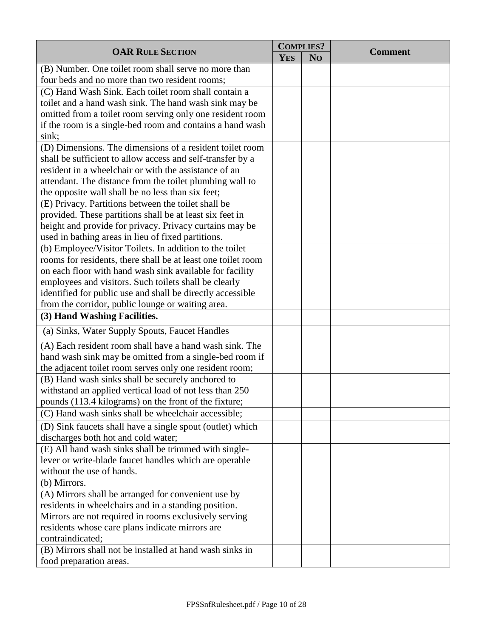| <b>OAR RULE SECTION</b>                                                             |  | <b>COMPLIES?</b> |                |
|-------------------------------------------------------------------------------------|--|------------------|----------------|
|                                                                                     |  | N <sub>O</sub>   | <b>Comment</b> |
| (B) Number. One toilet room shall serve no more than                                |  |                  |                |
| four beds and no more than two resident rooms;                                      |  |                  |                |
| (C) Hand Wash Sink. Each toilet room shall contain a                                |  |                  |                |
| toilet and a hand wash sink. The hand wash sink may be                              |  |                  |                |
| omitted from a toilet room serving only one resident room                           |  |                  |                |
| if the room is a single-bed room and contains a hand wash                           |  |                  |                |
| sink;                                                                               |  |                  |                |
| (D) Dimensions. The dimensions of a resident toilet room                            |  |                  |                |
| shall be sufficient to allow access and self-transfer by a                          |  |                  |                |
| resident in a wheelchair or with the assistance of an                               |  |                  |                |
| attendant. The distance from the toilet plumbing wall to                            |  |                  |                |
| the opposite wall shall be no less than six feet;                                   |  |                  |                |
| (E) Privacy. Partitions between the toilet shall be                                 |  |                  |                |
| provided. These partitions shall be at least six feet in                            |  |                  |                |
| height and provide for privacy. Privacy curtains may be                             |  |                  |                |
| used in bathing areas in lieu of fixed partitions.                                  |  |                  |                |
| (b) Employee/Visitor Toilets. In addition to the toilet                             |  |                  |                |
| rooms for residents, there shall be at least one toilet room                        |  |                  |                |
| on each floor with hand wash sink available for facility                            |  |                  |                |
| employees and visitors. Such toilets shall be clearly                               |  |                  |                |
| identified for public use and shall be directly accessible                          |  |                  |                |
| from the corridor, public lounge or waiting area.                                   |  |                  |                |
| (3) Hand Washing Facilities.                                                        |  |                  |                |
| (a) Sinks, Water Supply Spouts, Faucet Handles                                      |  |                  |                |
| (A) Each resident room shall have a hand wash sink. The                             |  |                  |                |
| hand wash sink may be omitted from a single-bed room if                             |  |                  |                |
| the adjacent toilet room serves only one resident room;                             |  |                  |                |
| (B) Hand wash sinks shall be securely anchored to                                   |  |                  |                |
| withstand an applied vertical load of not less than 250                             |  |                  |                |
| pounds (113.4 kilograms) on the front of the fixture;                               |  |                  |                |
| (C) Hand wash sinks shall be wheelchair accessible;                                 |  |                  |                |
| (D) Sink faucets shall have a single spout (outlet) which                           |  |                  |                |
| discharges both hot and cold water;                                                 |  |                  |                |
| (E) All hand wash sinks shall be trimmed with single-                               |  |                  |                |
| lever or write-blade faucet handles which are operable<br>without the use of hands. |  |                  |                |
|                                                                                     |  |                  |                |
| (b) Mirrors.                                                                        |  |                  |                |
| (A) Mirrors shall be arranged for convenient use by                                 |  |                  |                |
| residents in wheelchairs and in a standing position.                                |  |                  |                |
| Mirrors are not required in rooms exclusively serving                               |  |                  |                |
| residents whose care plans indicate mirrors are<br>contraindicated;                 |  |                  |                |
|                                                                                     |  |                  |                |
| (B) Mirrors shall not be installed at hand wash sinks in                            |  |                  |                |
| food preparation areas.                                                             |  |                  |                |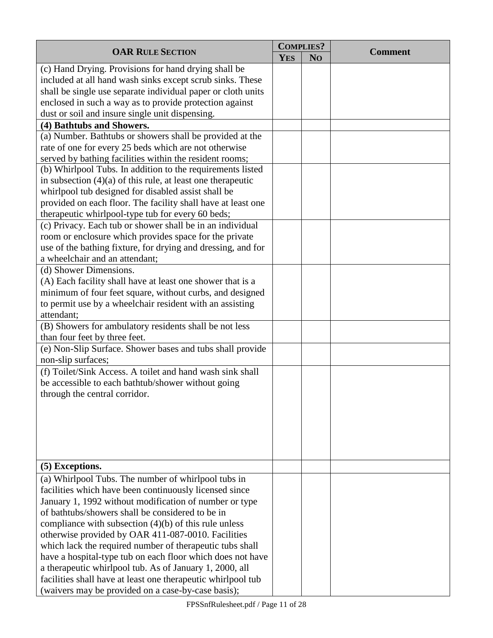| <b>OAR RULE SECTION</b>                                       |            | <b>COMPLIES?</b> | <b>Comment</b> |
|---------------------------------------------------------------|------------|------------------|----------------|
|                                                               | <b>YES</b> | N <sub>O</sub>   |                |
| (c) Hand Drying. Provisions for hand drying shall be          |            |                  |                |
| included at all hand wash sinks except scrub sinks. These     |            |                  |                |
| shall be single use separate individual paper or cloth units  |            |                  |                |
| enclosed in such a way as to provide protection against       |            |                  |                |
| dust or soil and insure single unit dispensing.               |            |                  |                |
| (4) Bathtubs and Showers.                                     |            |                  |                |
| (a) Number. Bathtubs or showers shall be provided at the      |            |                  |                |
| rate of one for every 25 beds which are not otherwise         |            |                  |                |
| served by bathing facilities within the resident rooms;       |            |                  |                |
| (b) Whirlpool Tubs. In addition to the requirements listed    |            |                  |                |
| in subsection $(4)(a)$ of this rule, at least one therapeutic |            |                  |                |
| whirlpool tub designed for disabled assist shall be           |            |                  |                |
| provided on each floor. The facility shall have at least one  |            |                  |                |
| therapeutic whirlpool-type tub for every 60 beds;             |            |                  |                |
| (c) Privacy. Each tub or shower shall be in an individual     |            |                  |                |
| room or enclosure which provides space for the private        |            |                  |                |
| use of the bathing fixture, for drying and dressing, and for  |            |                  |                |
| a wheelchair and an attendant;                                |            |                  |                |
| (d) Shower Dimensions.                                        |            |                  |                |
| (A) Each facility shall have at least one shower that is a    |            |                  |                |
| minimum of four feet square, without curbs, and designed      |            |                  |                |
| to permit use by a wheelchair resident with an assisting      |            |                  |                |
| attendant;                                                    |            |                  |                |
| (B) Showers for ambulatory residents shall be not less        |            |                  |                |
| than four feet by three feet.                                 |            |                  |                |
| (e) Non-Slip Surface. Shower bases and tubs shall provide     |            |                  |                |
| non-slip surfaces;                                            |            |                  |                |
| (f) Toilet/Sink Access. A toilet and hand wash sink shall     |            |                  |                |
| be accessible to each bathtub/shower without going            |            |                  |                |
| through the central corridor.                                 |            |                  |                |
|                                                               |            |                  |                |
|                                                               |            |                  |                |
|                                                               |            |                  |                |
|                                                               |            |                  |                |
|                                                               |            |                  |                |
| (5) Exceptions.                                               |            |                  |                |
| (a) Whirlpool Tubs. The number of whirlpool tubs in           |            |                  |                |
| facilities which have been continuously licensed since        |            |                  |                |
| January 1, 1992 without modification of number or type        |            |                  |                |
| of bathtubs/showers shall be considered to be in              |            |                  |                |
| compliance with subsection $(4)(b)$ of this rule unless       |            |                  |                |
| otherwise provided by OAR 411-087-0010. Facilities            |            |                  |                |
| which lack the required number of the rapeutic tubs shall     |            |                  |                |
| have a hospital-type tub on each floor which does not have    |            |                  |                |
| a therapeutic whirlpool tub. As of January 1, 2000, all       |            |                  |                |
| facilities shall have at least one therapeutic whirlpool tub  |            |                  |                |
| (waivers may be provided on a case-by-case basis);            |            |                  |                |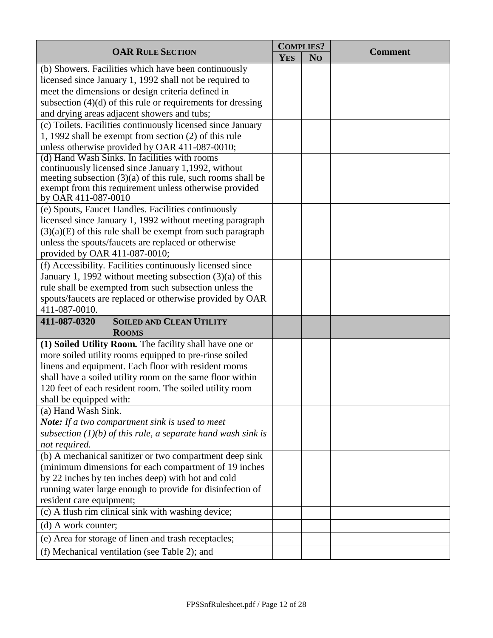| <b>OAR RULE SECTION</b>                                                                                                 |            | <b>COMPLIES?</b> | <b>Comment</b> |
|-------------------------------------------------------------------------------------------------------------------------|------------|------------------|----------------|
|                                                                                                                         | <b>YES</b> | N <sub>O</sub>   |                |
| (b) Showers. Facilities which have been continuously                                                                    |            |                  |                |
| licensed since January 1, 1992 shall not be required to                                                                 |            |                  |                |
| meet the dimensions or design criteria defined in                                                                       |            |                  |                |
| subsection $(4)(d)$ of this rule or requirements for dressing                                                           |            |                  |                |
| and drying areas adjacent showers and tubs;                                                                             |            |                  |                |
| (c) Toilets. Facilities continuously licensed since January                                                             |            |                  |                |
| 1, 1992 shall be exempt from section (2) of this rule                                                                   |            |                  |                |
| unless otherwise provided by OAR 411-087-0010;                                                                          |            |                  |                |
| (d) Hand Wash Sinks. In facilities with rooms                                                                           |            |                  |                |
| continuously licensed since January 1,1992, without                                                                     |            |                  |                |
| meeting subsection $(3)(a)$ of this rule, such rooms shall be<br>exempt from this requirement unless otherwise provided |            |                  |                |
| by OAR 411-087-0010                                                                                                     |            |                  |                |
| (e) Spouts, Faucet Handles. Facilities continuously                                                                     |            |                  |                |
| licensed since January 1, 1992 without meeting paragraph                                                                |            |                  |                |
| $(3)(a)(E)$ of this rule shall be exempt from such paragraph                                                            |            |                  |                |
| unless the spouts/faucets are replaced or otherwise                                                                     |            |                  |                |
| provided by OAR 411-087-0010;                                                                                           |            |                  |                |
| (f) Accessibility. Facilities continuously licensed since                                                               |            |                  |                |
| January 1, 1992 without meeting subsection $(3)(a)$ of this                                                             |            |                  |                |
| rule shall be exempted from such subsection unless the                                                                  |            |                  |                |
| spouts/faucets are replaced or otherwise provided by OAR                                                                |            |                  |                |
| 411-087-0010.                                                                                                           |            |                  |                |
| 411-087-0320<br><b>SOILED AND CLEAN UTILITY</b>                                                                         |            |                  |                |
| <b>ROOMS</b>                                                                                                            |            |                  |                |
| (1) Soiled Utility Room. The facility shall have one or                                                                 |            |                  |                |
| more soiled utility rooms equipped to pre-rinse soiled                                                                  |            |                  |                |
| linens and equipment. Each floor with resident rooms                                                                    |            |                  |                |
| shall have a soiled utility room on the same floor within                                                               |            |                  |                |
| 120 feet of each resident room. The soiled utility room                                                                 |            |                  |                |
| shall be equipped with:                                                                                                 |            |                  |                |
| (a) Hand Wash Sink.                                                                                                     |            |                  |                |
| <b>Note:</b> If a two compartment sink is used to meet                                                                  |            |                  |                |
| subsection $(1)(b)$ of this rule, a separate hand wash sink is                                                          |            |                  |                |
| not required.                                                                                                           |            |                  |                |
| (b) A mechanical sanitizer or two compartment deep sink                                                                 |            |                  |                |
| (minimum dimensions for each compartment of 19 inches                                                                   |            |                  |                |
| by 22 inches by ten inches deep) with hot and cold                                                                      |            |                  |                |
| running water large enough to provide for disinfection of                                                               |            |                  |                |
| resident care equipment;                                                                                                |            |                  |                |
| (c) A flush rim clinical sink with washing device;                                                                      |            |                  |                |
| (d) A work counter;                                                                                                     |            |                  |                |
| (e) Area for storage of linen and trash receptacles;                                                                    |            |                  |                |
| (f) Mechanical ventilation (see Table 2); and                                                                           |            |                  |                |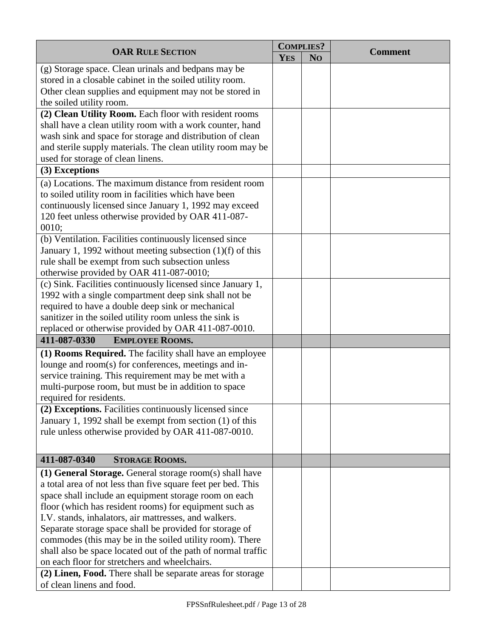|                                                               |            | <b>COMPLIES?</b> | <b>Comment</b> |
|---------------------------------------------------------------|------------|------------------|----------------|
| <b>OAR RULE SECTION</b>                                       | <b>YES</b> | N <sub>O</sub>   |                |
| (g) Storage space. Clean urinals and bedpans may be           |            |                  |                |
| stored in a closable cabinet in the soiled utility room.      |            |                  |                |
| Other clean supplies and equipment may not be stored in       |            |                  |                |
| the soiled utility room.                                      |            |                  |                |
| (2) Clean Utility Room. Each floor with resident rooms        |            |                  |                |
| shall have a clean utility room with a work counter, hand     |            |                  |                |
| wash sink and space for storage and distribution of clean     |            |                  |                |
| and sterile supply materials. The clean utility room may be   |            |                  |                |
| used for storage of clean linens.                             |            |                  |                |
| (3) Exceptions                                                |            |                  |                |
| (a) Locations. The maximum distance from resident room        |            |                  |                |
| to soiled utility room in facilities which have been          |            |                  |                |
| continuously licensed since January 1, 1992 may exceed        |            |                  |                |
| 120 feet unless otherwise provided by OAR 411-087-            |            |                  |                |
| 0010;                                                         |            |                  |                |
| (b) Ventilation. Facilities continuously licensed since       |            |                  |                |
| January 1, 1992 without meeting subsection $(1)(f)$ of this   |            |                  |                |
| rule shall be exempt from such subsection unless              |            |                  |                |
| otherwise provided by OAR 411-087-0010;                       |            |                  |                |
| (c) Sink. Facilities continuously licensed since January 1,   |            |                  |                |
| 1992 with a single compartment deep sink shall not be         |            |                  |                |
| required to have a double deep sink or mechanical             |            |                  |                |
| sanitizer in the soiled utility room unless the sink is       |            |                  |                |
| replaced or otherwise provided by OAR 411-087-0010.           |            |                  |                |
| 411-087-0330<br><b>EMPLOYEE ROOMS.</b>                        |            |                  |                |
| (1) Rooms Required. The facility shall have an employee       |            |                  |                |
| lounge and room(s) for conferences, meetings and in-          |            |                  |                |
| service training. This requirement may be met with a          |            |                  |                |
| multi-purpose room, but must be in addition to space          |            |                  |                |
| required for residents.                                       |            |                  |                |
| (2) Exceptions. Facilities continuously licensed since        |            |                  |                |
| January 1, 1992 shall be exempt from section (1) of this      |            |                  |                |
| rule unless otherwise provided by OAR 411-087-0010.           |            |                  |                |
|                                                               |            |                  |                |
| 411-087-0340<br><b>STORAGE ROOMS.</b>                         |            |                  |                |
| (1) General Storage. General storage room(s) shall have       |            |                  |                |
| a total area of not less than five square feet per bed. This  |            |                  |                |
| space shall include an equipment storage room on each         |            |                  |                |
| floor (which has resident rooms) for equipment such as        |            |                  |                |
| I.V. stands, inhalators, air mattresses, and walkers.         |            |                  |                |
| Separate storage space shall be provided for storage of       |            |                  |                |
| commodes (this may be in the soiled utility room). There      |            |                  |                |
| shall also be space located out of the path of normal traffic |            |                  |                |
| on each floor for stretchers and wheelchairs.                 |            |                  |                |
| (2) Linen, Food. There shall be separate areas for storage    |            |                  |                |
| of clean linens and food.                                     |            |                  |                |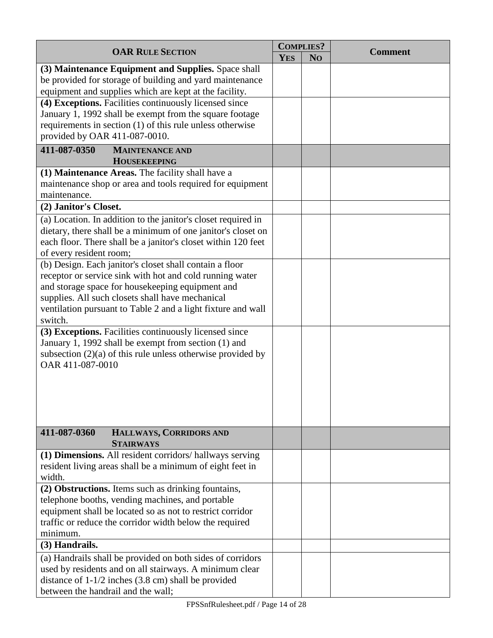|                                                               | <b>COMPLIES?</b> |                |                |
|---------------------------------------------------------------|------------------|----------------|----------------|
| <b>OAR RULE SECTION</b>                                       | <b>YES</b>       | N <sub>O</sub> | <b>Comment</b> |
| (3) Maintenance Equipment and Supplies. Space shall           |                  |                |                |
| be provided for storage of building and yard maintenance      |                  |                |                |
| equipment and supplies which are kept at the facility.        |                  |                |                |
| (4) Exceptions. Facilities continuously licensed since        |                  |                |                |
| January 1, 1992 shall be exempt from the square footage       |                  |                |                |
| requirements in section (1) of this rule unless otherwise     |                  |                |                |
| provided by OAR 411-087-0010.                                 |                  |                |                |
| 411-087-0350<br><b>MAINTENANCE AND</b>                        |                  |                |                |
| <b>HOUSEKEEPING</b>                                           |                  |                |                |
| (1) Maintenance Areas. The facility shall have a              |                  |                |                |
| maintenance shop or area and tools required for equipment     |                  |                |                |
| maintenance.                                                  |                  |                |                |
| (2) Janitor's Closet.                                         |                  |                |                |
|                                                               |                  |                |                |
| (a) Location. In addition to the janitor's closet required in |                  |                |                |
| dietary, there shall be a minimum of one janitor's closet on  |                  |                |                |
| each floor. There shall be a janitor's closet within 120 feet |                  |                |                |
| of every resident room;                                       |                  |                |                |
| (b) Design. Each janitor's closet shall contain a floor       |                  |                |                |
| receptor or service sink with hot and cold running water      |                  |                |                |
| and storage space for housekeeping equipment and              |                  |                |                |
| supplies. All such closets shall have mechanical              |                  |                |                |
| ventilation pursuant to Table 2 and a light fixture and wall  |                  |                |                |
| switch.                                                       |                  |                |                |
| (3) Exceptions. Facilities continuously licensed since        |                  |                |                |
| January 1, 1992 shall be exempt from section (1) and          |                  |                |                |
| subsection $(2)(a)$ of this rule unless otherwise provided by |                  |                |                |
| OAR 411-087-0010                                              |                  |                |                |
|                                                               |                  |                |                |
|                                                               |                  |                |                |
|                                                               |                  |                |                |
|                                                               |                  |                |                |
|                                                               |                  |                |                |
| 411-087-0360<br>HALLWAYS, CORRIDORS AND                       |                  |                |                |
| <b>STAIRWAYS</b>                                              |                  |                |                |
| (1) Dimensions. All resident corridors/hallways serving       |                  |                |                |
| resident living areas shall be a minimum of eight feet in     |                  |                |                |
| width.                                                        |                  |                |                |
| (2) Obstructions. Items such as drinking fountains,           |                  |                |                |
| telephone booths, vending machines, and portable              |                  |                |                |
| equipment shall be located so as not to restrict corridor     |                  |                |                |
| traffic or reduce the corridor width below the required       |                  |                |                |
| minimum.                                                      |                  |                |                |
| (3) Handrails.                                                |                  |                |                |
| (a) Handrails shall be provided on both sides of corridors    |                  |                |                |
| used by residents and on all stairways. A minimum clear       |                  |                |                |
| distance of $1-1/2$ inches (3.8 cm) shall be provided         |                  |                |                |
| between the handrail and the wall;                            |                  |                |                |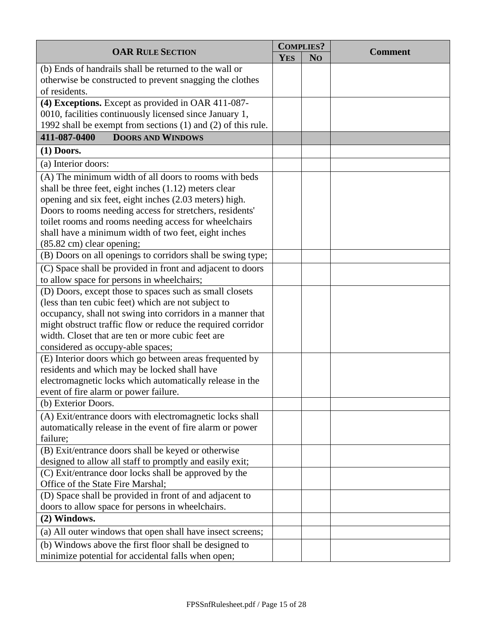|                                                              |            | <b>COMPLIES?</b> |                |
|--------------------------------------------------------------|------------|------------------|----------------|
| <b>OAR RULE SECTION</b>                                      | <b>YES</b> | N <sub>O</sub>   | <b>Comment</b> |
| (b) Ends of handrails shall be returned to the wall or       |            |                  |                |
| otherwise be constructed to prevent snagging the clothes     |            |                  |                |
| of residents.                                                |            |                  |                |
| (4) Exceptions. Except as provided in OAR 411-087-           |            |                  |                |
| 0010, facilities continuously licensed since January 1,      |            |                  |                |
| 1992 shall be exempt from sections (1) and (2) of this rule. |            |                  |                |
| <b>DOORS AND WINDOWS</b><br>411-087-0400                     |            |                  |                |
| $(1)$ Doors.                                                 |            |                  |                |
| (a) Interior doors:                                          |            |                  |                |
| (A) The minimum width of all doors to rooms with beds        |            |                  |                |
| shall be three feet, eight inches $(1.12)$ meters clear      |            |                  |                |
| opening and six feet, eight inches (2.03 meters) high.       |            |                  |                |
| Doors to rooms needing access for stretchers, residents'     |            |                  |                |
| toilet rooms and rooms needing access for wheelchairs        |            |                  |                |
| shall have a minimum width of two feet, eight inches         |            |                  |                |
| (85.82 cm) clear opening;                                    |            |                  |                |
| (B) Doors on all openings to corridors shall be swing type;  |            |                  |                |
| (C) Space shall be provided in front and adjacent to doors   |            |                  |                |
| to allow space for persons in wheelchairs;                   |            |                  |                |
| (D) Doors, except those to spaces such as small closets      |            |                  |                |
| (less than ten cubic feet) which are not subject to          |            |                  |                |
| occupancy, shall not swing into corridors in a manner that   |            |                  |                |
| might obstruct traffic flow or reduce the required corridor  |            |                  |                |
| width. Closet that are ten or more cubic feet are            |            |                  |                |
| considered as occupy-able spaces;                            |            |                  |                |
| (E) Interior doors which go between areas frequented by      |            |                  |                |
| residents and which may be locked shall have                 |            |                  |                |
| electromagnetic locks which automatically release in the     |            |                  |                |
| event of fire alarm or power failure.                        |            |                  |                |
| (b) Exterior Doors.                                          |            |                  |                |
| (A) Exit/entrance doors with electromagnetic locks shall     |            |                  |                |
| automatically release in the event of fire alarm or power    |            |                  |                |
| failure;                                                     |            |                  |                |
| (B) Exit/entrance doors shall be keyed or otherwise          |            |                  |                |
| designed to allow all staff to promptly and easily exit;     |            |                  |                |
| (C) Exit/entrance door locks shall be approved by the        |            |                  |                |
| Office of the State Fire Marshal;                            |            |                  |                |
| (D) Space shall be provided in front of and adjacent to      |            |                  |                |
| doors to allow space for persons in wheelchairs.             |            |                  |                |
| (2) Windows.                                                 |            |                  |                |
| (a) All outer windows that open shall have insect screens;   |            |                  |                |
| (b) Windows above the first floor shall be designed to       |            |                  |                |
| minimize potential for accidental falls when open;           |            |                  |                |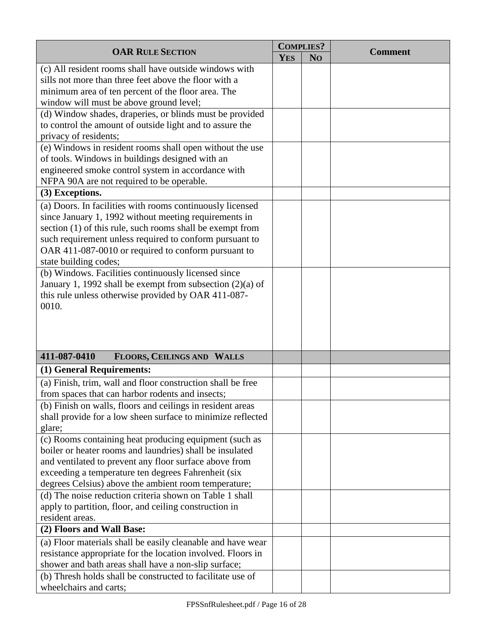|                                                             | <b>COMPLIES?</b> |                |                |
|-------------------------------------------------------------|------------------|----------------|----------------|
| <b>OAR RULE SECTION</b>                                     | <b>YES</b>       | N <sub>O</sub> | <b>Comment</b> |
| (c) All resident rooms shall have outside windows with      |                  |                |                |
| sills not more than three feet above the floor with a       |                  |                |                |
| minimum area of ten percent of the floor area. The          |                  |                |                |
| window will must be above ground level;                     |                  |                |                |
| (d) Window shades, draperies, or blinds must be provided    |                  |                |                |
| to control the amount of outside light and to assure the    |                  |                |                |
| privacy of residents;                                       |                  |                |                |
| (e) Windows in resident rooms shall open without the use    |                  |                |                |
| of tools. Windows in buildings designed with an             |                  |                |                |
| engineered smoke control system in accordance with          |                  |                |                |
| NFPA 90A are not required to be operable.                   |                  |                |                |
| (3) Exceptions.                                             |                  |                |                |
| (a) Doors. In facilities with rooms continuously licensed   |                  |                |                |
| since January 1, 1992 without meeting requirements in       |                  |                |                |
| section (1) of this rule, such rooms shall be exempt from   |                  |                |                |
| such requirement unless required to conform pursuant to     |                  |                |                |
| OAR 411-087-0010 or required to conform pursuant to         |                  |                |                |
| state building codes;                                       |                  |                |                |
| (b) Windows. Facilities continuously licensed since         |                  |                |                |
| January 1, 1992 shall be exempt from subsection $(2)(a)$ of |                  |                |                |
| this rule unless otherwise provided by OAR 411-087-         |                  |                |                |
| 0010.                                                       |                  |                |                |
|                                                             |                  |                |                |
|                                                             |                  |                |                |
|                                                             |                  |                |                |
| 411-087-0410<br>FLOORS, CEILINGS AND WALLS                  |                  |                |                |
| (1) General Requirements:                                   |                  |                |                |
| (a) Finish, trim, wall and floor construction shall be free |                  |                |                |
| from spaces that can harbor rodents and insects;            |                  |                |                |
| (b) Finish on walls, floors and ceilings in resident areas  |                  |                |                |
| shall provide for a low sheen surface to minimize reflected |                  |                |                |
| glare;                                                      |                  |                |                |
| (c) Rooms containing heat producing equipment (such as      |                  |                |                |
| boiler or heater rooms and laundries) shall be insulated    |                  |                |                |
| and ventilated to prevent any floor surface above from      |                  |                |                |
| exceeding a temperature ten degrees Fahrenheit (six         |                  |                |                |
| degrees Celsius) above the ambient room temperature;        |                  |                |                |
| (d) The noise reduction criteria shown on Table 1 shall     |                  |                |                |
| apply to partition, floor, and ceiling construction in      |                  |                |                |
| resident areas.                                             |                  |                |                |
| (2) Floors and Wall Base:                                   |                  |                |                |
| (a) Floor materials shall be easily cleanable and have wear |                  |                |                |
| resistance appropriate for the location involved. Floors in |                  |                |                |
| shower and bath areas shall have a non-slip surface;        |                  |                |                |
| (b) Thresh holds shall be constructed to facilitate use of  |                  |                |                |
| wheelchairs and carts;                                      |                  |                |                |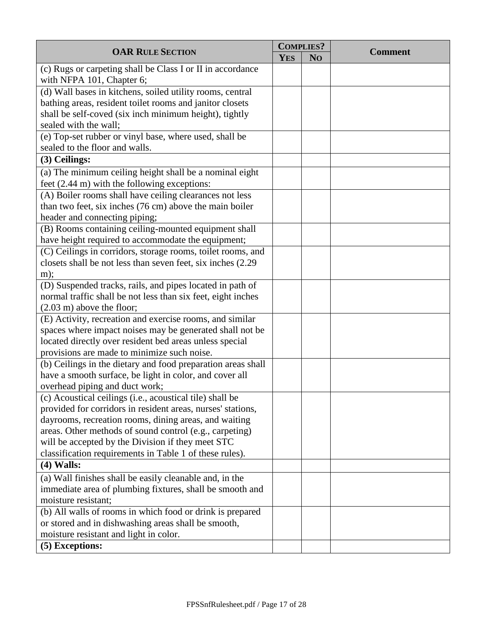|                                                              |            | <b>COMPLIES?</b> |                |
|--------------------------------------------------------------|------------|------------------|----------------|
| <b>OAR RULE SECTION</b>                                      | <b>YES</b> | N <sub>O</sub>   | <b>Comment</b> |
| (c) Rugs or carpeting shall be Class I or II in accordance   |            |                  |                |
| with NFPA 101, Chapter 6;                                    |            |                  |                |
| (d) Wall bases in kitchens, soiled utility rooms, central    |            |                  |                |
| bathing areas, resident toilet rooms and janitor closets     |            |                  |                |
| shall be self-coved (six inch minimum height), tightly       |            |                  |                |
| sealed with the wall;                                        |            |                  |                |
| (e) Top-set rubber or vinyl base, where used, shall be       |            |                  |                |
| sealed to the floor and walls.                               |            |                  |                |
| (3) Ceilings:                                                |            |                  |                |
| (a) The minimum ceiling height shall be a nominal eight      |            |                  |                |
| feet (2.44 m) with the following exceptions:                 |            |                  |                |
| (A) Boiler rooms shall have ceiling clearances not less      |            |                  |                |
| than two feet, six inches (76 cm) above the main boiler      |            |                  |                |
| header and connecting piping;                                |            |                  |                |
| (B) Rooms containing ceiling-mounted equipment shall         |            |                  |                |
| have height required to accommodate the equipment;           |            |                  |                |
| (C) Ceilings in corridors, storage rooms, toilet rooms, and  |            |                  |                |
| closets shall be not less than seven feet, six inches (2.29) |            |                  |                |
| $m)$ ;                                                       |            |                  |                |
| (D) Suspended tracks, rails, and pipes located in path of    |            |                  |                |
| normal traffic shall be not less than six feet, eight inches |            |                  |                |
| $(2.03 \text{ m})$ above the floor;                          |            |                  |                |
| (E) Activity, recreation and exercise rooms, and similar     |            |                  |                |
| spaces where impact noises may be generated shall not be     |            |                  |                |
| located directly over resident bed areas unless special      |            |                  |                |
| provisions are made to minimize such noise.                  |            |                  |                |
| (b) Ceilings in the dietary and food preparation areas shall |            |                  |                |
| have a smooth surface, be light in color, and cover all      |            |                  |                |
| overhead piping and duct work;                               |            |                  |                |
| (c) Acoustical ceilings (i.e., acoustical tile) shall be     |            |                  |                |
| provided for corridors in resident areas, nurses' stations,  |            |                  |                |
| dayrooms, recreation rooms, dining areas, and waiting        |            |                  |                |
| areas. Other methods of sound control (e.g., carpeting)      |            |                  |                |
| will be accepted by the Division if they meet STC            |            |                  |                |
| classification requirements in Table 1 of these rules).      |            |                  |                |
| $(4)$ Walls:                                                 |            |                  |                |
| (a) Wall finishes shall be easily cleanable and, in the      |            |                  |                |
| immediate area of plumbing fixtures, shall be smooth and     |            |                  |                |
| moisture resistant;                                          |            |                  |                |
| (b) All walls of rooms in which food or drink is prepared    |            |                  |                |
| or stored and in dishwashing areas shall be smooth,          |            |                  |                |
| moisture resistant and light in color.                       |            |                  |                |
| (5) Exceptions:                                              |            |                  |                |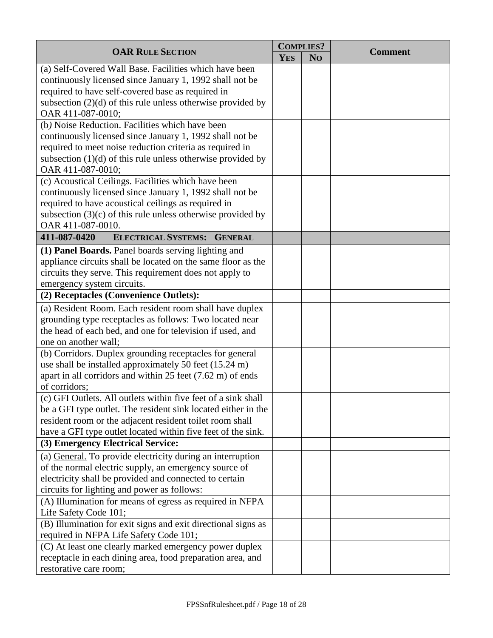| <b>OAR RULE SECTION</b>                                                                                 | <b>COMPLIES?</b> |                | <b>Comment</b> |
|---------------------------------------------------------------------------------------------------------|------------------|----------------|----------------|
|                                                                                                         | <b>YES</b>       | N <sub>O</sub> |                |
| (a) Self-Covered Wall Base. Facilities which have been                                                  |                  |                |                |
| continuously licensed since January 1, 1992 shall not be                                                |                  |                |                |
| required to have self-covered base as required in                                                       |                  |                |                |
| subsection $(2)(d)$ of this rule unless otherwise provided by                                           |                  |                |                |
| OAR 411-087-0010;                                                                                       |                  |                |                |
| (b) Noise Reduction. Facilities which have been                                                         |                  |                |                |
| continuously licensed since January 1, 1992 shall not be                                                |                  |                |                |
| required to meet noise reduction criteria as required in                                                |                  |                |                |
| subsection $(1)(d)$ of this rule unless otherwise provided by<br>OAR 411-087-0010;                      |                  |                |                |
| (c) Acoustical Ceilings. Facilities which have been                                                     |                  |                |                |
| continuously licensed since January 1, 1992 shall not be                                                |                  |                |                |
| required to have acoustical ceilings as required in                                                     |                  |                |                |
| subsection $(3)(c)$ of this rule unless otherwise provided by                                           |                  |                |                |
| OAR 411-087-0010.                                                                                       |                  |                |                |
| ELECTRICAL SYSTEMS: GENERAL<br>411-087-0420                                                             |                  |                |                |
| (1) Panel Boards. Panel boards serving lighting and                                                     |                  |                |                |
| appliance circuits shall be located on the same floor as the                                            |                  |                |                |
| circuits they serve. This requirement does not apply to                                                 |                  |                |                |
| emergency system circuits.                                                                              |                  |                |                |
| (2) Receptacles (Convenience Outlets):                                                                  |                  |                |                |
| (a) Resident Room. Each resident room shall have duplex                                                 |                  |                |                |
| grounding type receptacles as follows: Two located near                                                 |                  |                |                |
| the head of each bed, and one for television if used, and                                               |                  |                |                |
| one on another wall;<br>(b) Corridors. Duplex grounding receptacles for general                         |                  |                |                |
| use shall be installed approximately 50 feet (15.24 m)                                                  |                  |                |                |
| apart in all corridors and within 25 feet (7.62 m) of ends                                              |                  |                |                |
| of corridors:                                                                                           |                  |                |                |
| (c) GFI Outlets. All outlets within five feet of a sink shall                                           |                  |                |                |
| be a GFI type outlet. The resident sink located either in the                                           |                  |                |                |
| resident room or the adjacent resident toilet room shall                                                |                  |                |                |
| have a GFI type outlet located within five feet of the sink.                                            |                  |                |                |
| (3) Emergency Electrical Service:                                                                       |                  |                |                |
| (a) General. To provide electricity during an interruption                                              |                  |                |                |
| of the normal electric supply, an emergency source of                                                   |                  |                |                |
| electricity shall be provided and connected to certain                                                  |                  |                |                |
| circuits for lighting and power as follows:                                                             |                  |                |                |
| (A) Illumination for means of egress as required in NFPA                                                |                  |                |                |
| Life Safety Code 101;                                                                                   |                  |                |                |
| (B) Illumination for exit signs and exit directional signs as<br>required in NFPA Life Safety Code 101; |                  |                |                |
| (C) At least one clearly marked emergency power duplex                                                  |                  |                |                |
| receptacle in each dining area, food preparation area, and                                              |                  |                |                |
| restorative care room;                                                                                  |                  |                |                |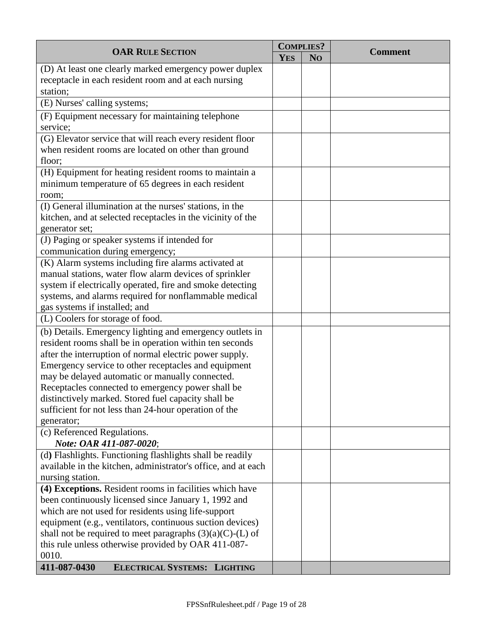| <b>OAR RULE SECTION</b>                                         |            | <b>COMPLIES?</b> | <b>Comment</b> |
|-----------------------------------------------------------------|------------|------------------|----------------|
|                                                                 | <b>YES</b> | N <sub>O</sub>   |                |
| (D) At least one clearly marked emergency power duplex          |            |                  |                |
| receptacle in each resident room and at each nursing            |            |                  |                |
| station;                                                        |            |                  |                |
| (E) Nurses' calling systems;                                    |            |                  |                |
| (F) Equipment necessary for maintaining telephone               |            |                  |                |
| service;                                                        |            |                  |                |
| (G) Elevator service that will reach every resident floor       |            |                  |                |
| when resident rooms are located on other than ground            |            |                  |                |
| floor;                                                          |            |                  |                |
| (H) Equipment for heating resident rooms to maintain a          |            |                  |                |
| minimum temperature of 65 degrees in each resident              |            |                  |                |
| room;                                                           |            |                  |                |
| (I) General illumination at the nurses' stations, in the        |            |                  |                |
| kitchen, and at selected receptacles in the vicinity of the     |            |                  |                |
| generator set;<br>(J) Paging or speaker systems if intended for |            |                  |                |
| communication during emergency;                                 |            |                  |                |
| (K) Alarm systems including fire alarms activated at            |            |                  |                |
| manual stations, water flow alarm devices of sprinkler          |            |                  |                |
| system if electrically operated, fire and smoke detecting       |            |                  |                |
| systems, and alarms required for nonflammable medical           |            |                  |                |
| gas systems if installed; and                                   |            |                  |                |
| (L) Coolers for storage of food.                                |            |                  |                |
| (b) Details. Emergency lighting and emergency outlets in        |            |                  |                |
| resident rooms shall be in operation within ten seconds         |            |                  |                |
| after the interruption of normal electric power supply.         |            |                  |                |
| Emergency service to other receptacles and equipment            |            |                  |                |
| may be delayed automatic or manually connected.                 |            |                  |                |
| Receptacles connected to emergency power shall be               |            |                  |                |
| distinctively marked. Stored fuel capacity shall be             |            |                  |                |
| sufficient for not less than 24-hour operation of the           |            |                  |                |
| generator;                                                      |            |                  |                |
| (c) Referenced Regulations.<br>Note: OAR 411-087-0020;          |            |                  |                |
| (d) Flashlights. Functioning flashlights shall be readily       |            |                  |                |
| available in the kitchen, administrator's office, and at each   |            |                  |                |
| nursing station.                                                |            |                  |                |
| (4) Exceptions. Resident rooms in facilities which have         |            |                  |                |
| been continuously licensed since January 1, 1992 and            |            |                  |                |
| which are not used for residents using life-support             |            |                  |                |
| equipment (e.g., ventilators, continuous suction devices)       |            |                  |                |
| shall not be required to meet paragraphs $(3)(a)(C)$ -(L) of    |            |                  |                |
| this rule unless otherwise provided by OAR 411-087-             |            |                  |                |
| 0010.                                                           |            |                  |                |
| 411-087-0430<br><b>ELECTRICAL SYSTEMS: LIGHTING</b>             |            |                  |                |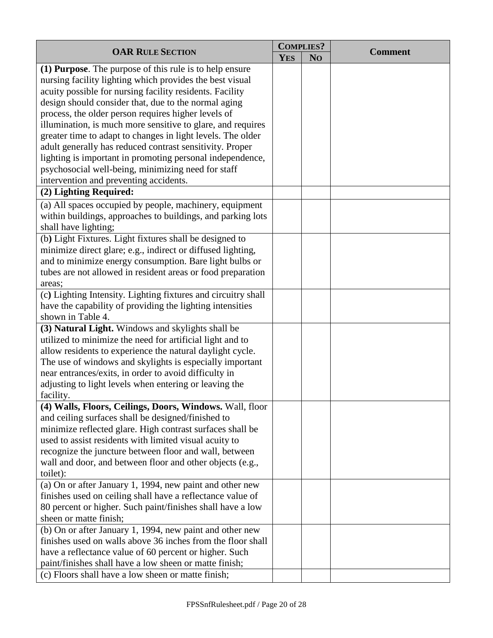| <b>OAR RULE SECTION</b>                                                                                                 | <b>COMPLIES?</b> |                | <b>Comment</b> |
|-------------------------------------------------------------------------------------------------------------------------|------------------|----------------|----------------|
|                                                                                                                         | <b>YES</b>       | N <sub>O</sub> |                |
| (1) Purpose. The purpose of this rule is to help ensure                                                                 |                  |                |                |
| nursing facility lighting which provides the best visual                                                                |                  |                |                |
| acuity possible for nursing facility residents. Facility                                                                |                  |                |                |
| design should consider that, due to the normal aging                                                                    |                  |                |                |
| process, the older person requires higher levels of                                                                     |                  |                |                |
| illumination, is much more sensitive to glare, and requires                                                             |                  |                |                |
| greater time to adapt to changes in light levels. The older                                                             |                  |                |                |
| adult generally has reduced contrast sensitivity. Proper                                                                |                  |                |                |
| lighting is important in promoting personal independence,                                                               |                  |                |                |
| psychosocial well-being, minimizing need for staff                                                                      |                  |                |                |
| intervention and preventing accidents.                                                                                  |                  |                |                |
| (2) Lighting Required:                                                                                                  |                  |                |                |
| (a) All spaces occupied by people, machinery, equipment                                                                 |                  |                |                |
| within buildings, approaches to buildings, and parking lots                                                             |                  |                |                |
| shall have lighting;                                                                                                    |                  |                |                |
| (b) Light Fixtures. Light fixtures shall be designed to                                                                 |                  |                |                |
| minimize direct glare; e.g., indirect or diffused lighting,                                                             |                  |                |                |
| and to minimize energy consumption. Bare light bulbs or                                                                 |                  |                |                |
| tubes are not allowed in resident areas or food preparation                                                             |                  |                |                |
| areas;                                                                                                                  |                  |                |                |
| (c) Lighting Intensity. Lighting fixtures and circuitry shall                                                           |                  |                |                |
| have the capability of providing the lighting intensities                                                               |                  |                |                |
| shown in Table 4.                                                                                                       |                  |                |                |
| (3) Natural Light. Windows and skylights shall be                                                                       |                  |                |                |
| utilized to minimize the need for artificial light and to                                                               |                  |                |                |
| allow residents to experience the natural daylight cycle.                                                               |                  |                |                |
| The use of windows and skylights is especially important                                                                |                  |                |                |
| near entrances/exits, in order to avoid difficulty in                                                                   |                  |                |                |
| adjusting to light levels when entering or leaving the                                                                  |                  |                |                |
| facility.                                                                                                               |                  |                |                |
| (4) Walls, Floors, Ceilings, Doors, Windows. Wall, floor                                                                |                  |                |                |
| and ceiling surfaces shall be designed/finished to                                                                      |                  |                |                |
| minimize reflected glare. High contrast surfaces shall be                                                               |                  |                |                |
| used to assist residents with limited visual acuity to                                                                  |                  |                |                |
| recognize the juncture between floor and wall, between                                                                  |                  |                |                |
| wall and door, and between floor and other objects (e.g.,                                                               |                  |                |                |
| toilet):                                                                                                                |                  |                |                |
| (a) On or after January 1, 1994, new paint and other new                                                                |                  |                |                |
| finishes used on ceiling shall have a reflectance value of                                                              |                  |                |                |
| 80 percent or higher. Such paint/finishes shall have a low<br>sheen or matte finish;                                    |                  |                |                |
|                                                                                                                         |                  |                |                |
| (b) On or after January 1, 1994, new paint and other new<br>finishes used on walls above 36 inches from the floor shall |                  |                |                |
| have a reflectance value of 60 percent or higher. Such                                                                  |                  |                |                |
| paint/finishes shall have a low sheen or matte finish;                                                                  |                  |                |                |
| (c) Floors shall have a low sheen or matte finish;                                                                      |                  |                |                |
|                                                                                                                         |                  |                |                |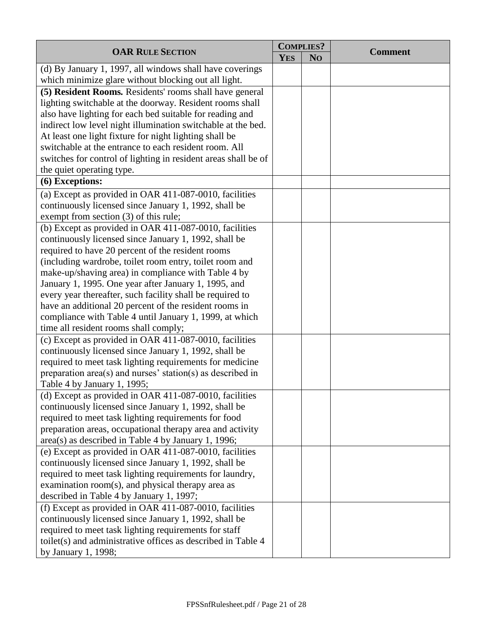| <b>OAR RULE SECTION</b>                                        |            | <b>COMPLIES?</b> | <b>Comment</b> |
|----------------------------------------------------------------|------------|------------------|----------------|
|                                                                | <b>YES</b> | N <sub>O</sub>   |                |
| (d) By January 1, 1997, all windows shall have coverings       |            |                  |                |
| which minimize glare without blocking out all light.           |            |                  |                |
| (5) Resident Rooms. Residents' rooms shall have general        |            |                  |                |
| lighting switchable at the doorway. Resident rooms shall       |            |                  |                |
| also have lighting for each bed suitable for reading and       |            |                  |                |
| indirect low level night illumination switchable at the bed.   |            |                  |                |
| At least one light fixture for night lighting shall be         |            |                  |                |
| switchable at the entrance to each resident room. All          |            |                  |                |
| switches for control of lighting in resident areas shall be of |            |                  |                |
| the quiet operating type.                                      |            |                  |                |
| (6) Exceptions:                                                |            |                  |                |
| (a) Except as provided in OAR 411-087-0010, facilities         |            |                  |                |
| continuously licensed since January 1, 1992, shall be          |            |                  |                |
| exempt from section (3) of this rule;                          |            |                  |                |
| (b) Except as provided in OAR 411-087-0010, facilities         |            |                  |                |
| continuously licensed since January 1, 1992, shall be          |            |                  |                |
| required to have 20 percent of the resident rooms              |            |                  |                |
| (including wardrobe, toilet room entry, toilet room and        |            |                  |                |
| make-up/shaving area) in compliance with Table 4 by            |            |                  |                |
| January 1, 1995. One year after January 1, 1995, and           |            |                  |                |
| every year thereafter, such facility shall be required to      |            |                  |                |
| have an additional 20 percent of the resident rooms in         |            |                  |                |
| compliance with Table 4 until January 1, 1999, at which        |            |                  |                |
| time all resident rooms shall comply;                          |            |                  |                |
| (c) Except as provided in OAR 411-087-0010, facilities         |            |                  |                |
| continuously licensed since January 1, 1992, shall be          |            |                  |                |
| required to meet task lighting requirements for medicine       |            |                  |                |
| preparation area(s) and nurses' station(s) as described in     |            |                  |                |
| Table 4 by January 1, 1995;                                    |            |                  |                |
| (d) Except as provided in OAR 411-087-0010, facilities         |            |                  |                |
| continuously licensed since January 1, 1992, shall be          |            |                  |                |
| required to meet task lighting requirements for food           |            |                  |                |
| preparation areas, occupational therapy area and activity      |            |                  |                |
| area(s) as described in Table 4 by January 1, 1996;            |            |                  |                |
| (e) Except as provided in OAR 411-087-0010, facilities         |            |                  |                |
| continuously licensed since January 1, 1992, shall be          |            |                  |                |
| required to meet task lighting requirements for laundry,       |            |                  |                |
| examination room(s), and physical therapy area as              |            |                  |                |
| described in Table 4 by January 1, 1997;                       |            |                  |                |
| (f) Except as provided in OAR 411-087-0010, facilities         |            |                  |                |
| continuously licensed since January 1, 1992, shall be          |            |                  |                |
| required to meet task lighting requirements for staff          |            |                  |                |
| toilet(s) and administrative offices as described in Table 4   |            |                  |                |
| by January 1, 1998;                                            |            |                  |                |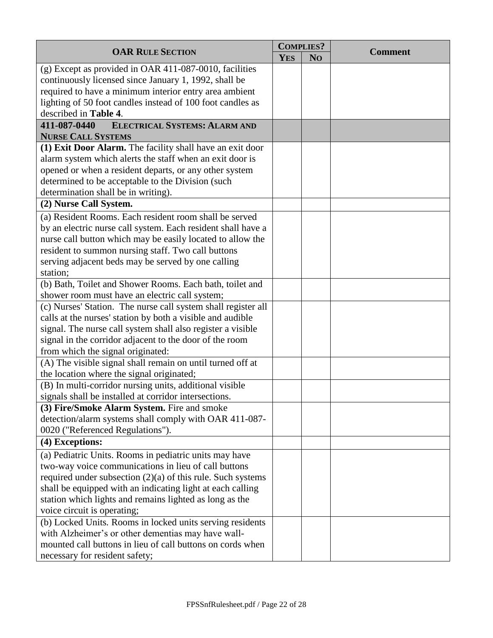|                                                               |            | <b>COMPLIES?</b> |                |
|---------------------------------------------------------------|------------|------------------|----------------|
| <b>OAR RULE SECTION</b>                                       | <b>YES</b> | N <sub>O</sub>   | <b>Comment</b> |
| (g) Except as provided in OAR 411-087-0010, facilities        |            |                  |                |
| continuously licensed since January 1, 1992, shall be         |            |                  |                |
| required to have a minimum interior entry area ambient        |            |                  |                |
| lighting of 50 foot candles instead of 100 foot candles as    |            |                  |                |
| described in Table 4.                                         |            |                  |                |
| 411-087-0440<br><b>ELECTRICAL SYSTEMS: ALARM AND</b>          |            |                  |                |
| <b>NURSE CALL SYSTEMS</b>                                     |            |                  |                |
| (1) Exit Door Alarm. The facility shall have an exit door     |            |                  |                |
| alarm system which alerts the staff when an exit door is      |            |                  |                |
| opened or when a resident departs, or any other system        |            |                  |                |
| determined to be acceptable to the Division (such             |            |                  |                |
| determination shall be in writing).                           |            |                  |                |
| (2) Nurse Call System.                                        |            |                  |                |
| (a) Resident Rooms. Each resident room shall be served        |            |                  |                |
| by an electric nurse call system. Each resident shall have a  |            |                  |                |
| nurse call button which may be easily located to allow the    |            |                  |                |
| resident to summon nursing staff. Two call buttons            |            |                  |                |
| serving adjacent beds may be served by one calling            |            |                  |                |
| station;                                                      |            |                  |                |
| (b) Bath, Toilet and Shower Rooms. Each bath, toilet and      |            |                  |                |
| shower room must have an electric call system;                |            |                  |                |
| (c) Nurses' Station. The nurse call system shall register all |            |                  |                |
| calls at the nurses' station by both a visible and audible    |            |                  |                |
| signal. The nurse call system shall also register a visible   |            |                  |                |
| signal in the corridor adjacent to the door of the room       |            |                  |                |
| from which the signal originated:                             |            |                  |                |
| (A) The visible signal shall remain on until turned off at    |            |                  |                |
| the location where the signal originated;                     |            |                  |                |
| (B) In multi-corridor nursing units, additional visible       |            |                  |                |
| signals shall be installed at corridor intersections.         |            |                  |                |
| (3) Fire/Smoke Alarm System. Fire and smoke                   |            |                  |                |
| detection/alarm systems shall comply with OAR 411-087-        |            |                  |                |
| 0020 ("Referenced Regulations").                              |            |                  |                |
| (4) Exceptions:                                               |            |                  |                |
| (a) Pediatric Units. Rooms in pediatric units may have        |            |                  |                |
| two-way voice communications in lieu of call buttons          |            |                  |                |
| required under subsection $(2)(a)$ of this rule. Such systems |            |                  |                |
| shall be equipped with an indicating light at each calling    |            |                  |                |
| station which lights and remains lighted as long as the       |            |                  |                |
| voice circuit is operating;                                   |            |                  |                |
| (b) Locked Units. Rooms in locked units serving residents     |            |                  |                |
| with Alzheimer's or other dementias may have wall-            |            |                  |                |
| mounted call buttons in lieu of call buttons on cords when    |            |                  |                |
| necessary for resident safety;                                |            |                  |                |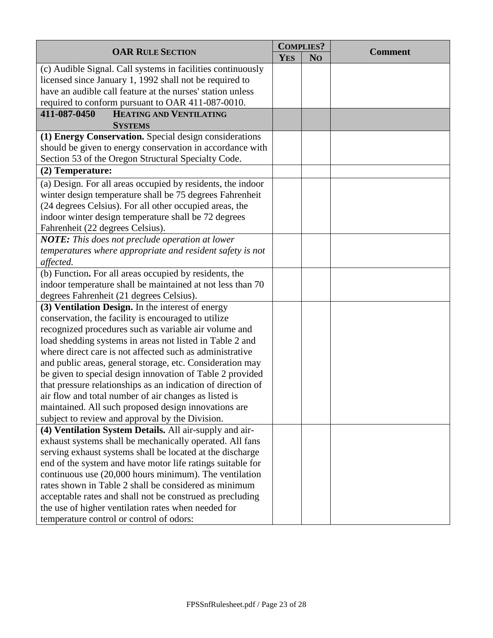|                                                              | <b>COMPLIES?</b> |                | <b>Comment</b> |
|--------------------------------------------------------------|------------------|----------------|----------------|
| <b>OAR RULE SECTION</b>                                      | <b>YES</b>       | N <sub>O</sub> |                |
| (c) Audible Signal. Call systems in facilities continuously  |                  |                |                |
| licensed since January 1, 1992 shall not be required to      |                  |                |                |
| have an audible call feature at the nurses' station unless   |                  |                |                |
| required to conform pursuant to OAR 411-087-0010.            |                  |                |                |
| <b>HEATING AND VENTILATING</b><br>411-087-0450               |                  |                |                |
| <b>SYSTEMS</b>                                               |                  |                |                |
| (1) Energy Conservation. Special design considerations       |                  |                |                |
| should be given to energy conservation in accordance with    |                  |                |                |
| Section 53 of the Oregon Structural Specialty Code.          |                  |                |                |
| (2) Temperature:                                             |                  |                |                |
| (a) Design. For all areas occupied by residents, the indoor  |                  |                |                |
| winter design temperature shall be 75 degrees Fahrenheit     |                  |                |                |
| (24 degrees Celsius). For all other occupied areas, the      |                  |                |                |
| indoor winter design temperature shall be 72 degrees         |                  |                |                |
| Fahrenheit (22 degrees Celsius).                             |                  |                |                |
| <b>NOTE:</b> This does not preclude operation at lower       |                  |                |                |
| temperatures where appropriate and resident safety is not    |                  |                |                |
| affected.                                                    |                  |                |                |
| (b) Function. For all areas occupied by residents, the       |                  |                |                |
| indoor temperature shall be maintained at not less than 70   |                  |                |                |
| degrees Fahrenheit (21 degrees Celsius).                     |                  |                |                |
| (3) Ventilation Design. In the interest of energy            |                  |                |                |
| conservation, the facility is encouraged to utilize          |                  |                |                |
| recognized procedures such as variable air volume and        |                  |                |                |
| load shedding systems in areas not listed in Table 2 and     |                  |                |                |
| where direct care is not affected such as administrative     |                  |                |                |
| and public areas, general storage, etc. Consideration may    |                  |                |                |
| be given to special design innovation of Table 2 provided    |                  |                |                |
| that pressure relationships as an indication of direction of |                  |                |                |
| air flow and total number of air changes as listed is        |                  |                |                |
| maintained. All such proposed design innovations are         |                  |                |                |
| subject to review and approval by the Division.              |                  |                |                |
| (4) Ventilation System Details. All air-supply and air-      |                  |                |                |
| exhaust systems shall be mechanically operated. All fans     |                  |                |                |
| serving exhaust systems shall be located at the discharge    |                  |                |                |
| end of the system and have motor life ratings suitable for   |                  |                |                |
| continuous use (20,000 hours minimum). The ventilation       |                  |                |                |
| rates shown in Table 2 shall be considered as minimum        |                  |                |                |
| acceptable rates and shall not be construed as precluding    |                  |                |                |
| the use of higher ventilation rates when needed for          |                  |                |                |
| temperature control or control of odors:                     |                  |                |                |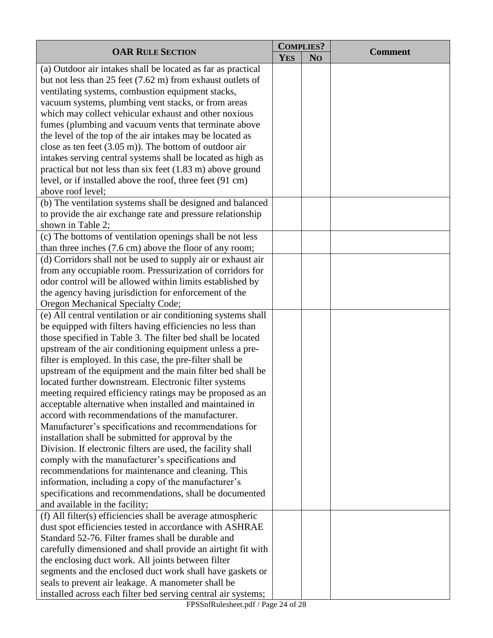| <b>OAR RULE SECTION</b>                                              | <b>COMPLIES?</b> |                |                |
|----------------------------------------------------------------------|------------------|----------------|----------------|
|                                                                      | <b>YES</b>       | N <sub>O</sub> | <b>Comment</b> |
| (a) Outdoor air intakes shall be located as far as practical         |                  |                |                |
| but not less than 25 feet $(7.62 \text{ m})$ from exhaust outlets of |                  |                |                |
| ventilating systems, combustion equipment stacks,                    |                  |                |                |
| vacuum systems, plumbing vent stacks, or from areas                  |                  |                |                |
| which may collect vehicular exhaust and other noxious                |                  |                |                |
| fumes (plumbing and vacuum vents that terminate above                |                  |                |                |
| the level of the top of the air intakes may be located as            |                  |                |                |
| close as ten feet $(3.05 \text{ m})$ ). The bottom of outdoor air    |                  |                |                |
| intakes serving central systems shall be located as high as          |                  |                |                |
| practical but not less than six feet $(1.83 \text{ m})$ above ground |                  |                |                |
| level, or if installed above the roof, three feet (91 cm)            |                  |                |                |
| above roof level;                                                    |                  |                |                |
| (b) The ventilation systems shall be designed and balanced           |                  |                |                |
| to provide the air exchange rate and pressure relationship           |                  |                |                |
| shown in Table 2;                                                    |                  |                |                |
| (c) The bottoms of ventilation openings shall be not less            |                  |                |                |
| than three inches (7.6 cm) above the floor of any room;              |                  |                |                |
| (d) Corridors shall not be used to supply air or exhaust air         |                  |                |                |
| from any occupiable room. Pressurization of corridors for            |                  |                |                |
| odor control will be allowed within limits established by            |                  |                |                |
| the agency having jurisdiction for enforcement of the                |                  |                |                |
| Oregon Mechanical Specialty Code;                                    |                  |                |                |
| (e) All central ventilation or air conditioning systems shall        |                  |                |                |
| be equipped with filters having efficiencies no less than            |                  |                |                |
| those specified in Table 3. The filter bed shall be located          |                  |                |                |
| upstream of the air conditioning equipment unless a pre-             |                  |                |                |
| filter is employed. In this case, the pre-filter shall be            |                  |                |                |
| upstream of the equipment and the main filter bed shall be           |                  |                |                |
| located further downstream. Electronic filter systems                |                  |                |                |
| meeting required efficiency ratings may be proposed as an            |                  |                |                |
| acceptable alternative when installed and maintained in              |                  |                |                |
| accord with recommendations of the manufacturer.                     |                  |                |                |
| Manufacturer's specifications and recommendations for                |                  |                |                |
| installation shall be submitted for approval by the                  |                  |                |                |
| Division. If electronic filters are used, the facility shall         |                  |                |                |
| comply with the manufacturer's specifications and                    |                  |                |                |
| recommendations for maintenance and cleaning. This                   |                  |                |                |
| information, including a copy of the manufacturer's                  |                  |                |                |
| specifications and recommendations, shall be documented              |                  |                |                |
| and available in the facility;                                       |                  |                |                |
| (f) All filter(s) efficiencies shall be average atmospheric          |                  |                |                |
| dust spot efficiencies tested in accordance with ASHRAE              |                  |                |                |
| Standard 52-76. Filter frames shall be durable and                   |                  |                |                |
| carefully dimensioned and shall provide an airtight fit with         |                  |                |                |
| the enclosing duct work. All joints between filter                   |                  |                |                |
| segments and the enclosed duct work shall have gaskets or            |                  |                |                |
| seals to prevent air leakage. A manometer shall be                   |                  |                |                |
| installed across each filter bed serving central air systems;        |                  |                |                |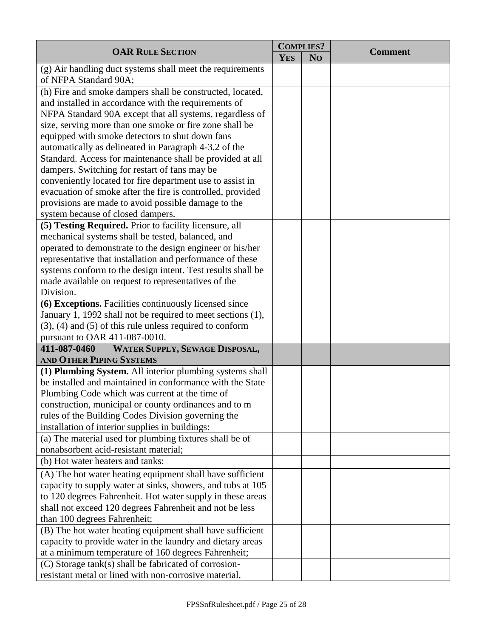| <b>OAR RULE SECTION</b>                                                                                        | <b>COMPLIES?</b> |                | <b>Comment</b> |
|----------------------------------------------------------------------------------------------------------------|------------------|----------------|----------------|
|                                                                                                                | <b>YES</b>       | N <sub>O</sub> |                |
| (g) Air handling duct systems shall meet the requirements<br>of NFPA Standard 90A;                             |                  |                |                |
| (h) Fire and smoke dampers shall be constructed, located,                                                      |                  |                |                |
| and installed in accordance with the requirements of                                                           |                  |                |                |
| NFPA Standard 90A except that all systems, regardless of                                                       |                  |                |                |
| size, serving more than one smoke or fire zone shall be                                                        |                  |                |                |
| equipped with smoke detectors to shut down fans                                                                |                  |                |                |
| automatically as delineated in Paragraph 4-3.2 of the                                                          |                  |                |                |
| Standard. Access for maintenance shall be provided at all                                                      |                  |                |                |
| dampers. Switching for restart of fans may be                                                                  |                  |                |                |
| conveniently located for fire department use to assist in                                                      |                  |                |                |
| evacuation of smoke after the fire is controlled, provided                                                     |                  |                |                |
| provisions are made to avoid possible damage to the                                                            |                  |                |                |
| system because of closed dampers.<br>(5) Testing Required. Prior to facility licensure, all                    |                  |                |                |
| mechanical systems shall be tested, balanced, and                                                              |                  |                |                |
| operated to demonstrate to the design engineer or his/her                                                      |                  |                |                |
| representative that installation and performance of these                                                      |                  |                |                |
| systems conform to the design intent. Test results shall be                                                    |                  |                |                |
| made available on request to representatives of the                                                            |                  |                |                |
| Division.                                                                                                      |                  |                |                |
| (6) Exceptions. Facilities continuously licensed since                                                         |                  |                |                |
| January 1, 1992 shall not be required to meet sections (1),                                                    |                  |                |                |
| $(3)$ , $(4)$ and $(5)$ of this rule unless required to conform                                                |                  |                |                |
| pursuant to OAR 411-087-0010.                                                                                  |                  |                |                |
| 411-087-0460<br>WATER SUPPLY, SEWAGE DISPOSAL,                                                                 |                  |                |                |
| <b>AND OTHER PIPING SYSTEMS</b>                                                                                |                  |                |                |
| (1) Plumbing System. All interior plumbing systems shall                                                       |                  |                |                |
| be installed and maintained in conformance with the State                                                      |                  |                |                |
| Plumbing Code which was current at the time of                                                                 |                  |                |                |
| construction, municipal or county ordinances and to m                                                          |                  |                |                |
| rules of the Building Codes Division governing the                                                             |                  |                |                |
| installation of interior supplies in buildings:                                                                |                  |                |                |
| (a) The material used for plumbing fixtures shall be of                                                        |                  |                |                |
| nonabsorbent acid-resistant material;                                                                          |                  |                |                |
| (b) Hot water heaters and tanks:                                                                               |                  |                |                |
| (A) The hot water heating equipment shall have sufficient                                                      |                  |                |                |
| capacity to supply water at sinks, showers, and tubs at 105                                                    |                  |                |                |
| to 120 degrees Fahrenheit. Hot water supply in these areas                                                     |                  |                |                |
| shall not exceed 120 degrees Fahrenheit and not be less                                                        |                  |                |                |
| than 100 degrees Fahrenheit;                                                                                   |                  |                |                |
| (B) The hot water heating equipment shall have sufficient                                                      |                  |                |                |
| capacity to provide water in the laundry and dietary areas                                                     |                  |                |                |
| at a minimum temperature of 160 degrees Fahrenheit;                                                            |                  |                |                |
| (C) Storage tank(s) shall be fabricated of corrosion-<br>resistant metal or lined with non-corrosive material. |                  |                |                |
|                                                                                                                |                  |                |                |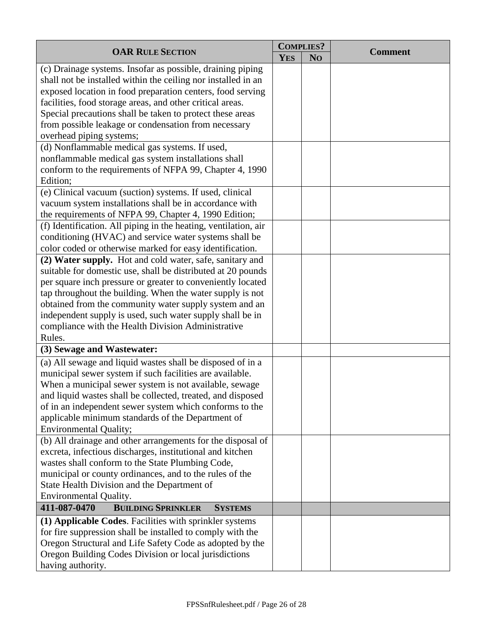| <b>OAR RULE SECTION</b>                                                                                               | <b>COMPLIES?</b> |                |                |
|-----------------------------------------------------------------------------------------------------------------------|------------------|----------------|----------------|
|                                                                                                                       | <b>YES</b>       | N <sub>O</sub> | <b>Comment</b> |
| (c) Drainage systems. Insofar as possible, draining piping                                                            |                  |                |                |
| shall not be installed within the ceiling nor installed in an                                                         |                  |                |                |
| exposed location in food preparation centers, food serving                                                            |                  |                |                |
| facilities, food storage areas, and other critical areas.                                                             |                  |                |                |
| Special precautions shall be taken to protect these areas                                                             |                  |                |                |
| from possible leakage or condensation from necessary                                                                  |                  |                |                |
| overhead piping systems;                                                                                              |                  |                |                |
| (d) Nonflammable medical gas systems. If used,                                                                        |                  |                |                |
| nonflammable medical gas system installations shall                                                                   |                  |                |                |
| conform to the requirements of NFPA 99, Chapter 4, 1990<br>Edition;                                                   |                  |                |                |
| (e) Clinical vacuum (suction) systems. If used, clinical                                                              |                  |                |                |
| vacuum system installations shall be in accordance with                                                               |                  |                |                |
| the requirements of NFPA 99, Chapter 4, 1990 Edition;                                                                 |                  |                |                |
| (f) Identification. All piping in the heating, ventilation, air                                                       |                  |                |                |
| conditioning (HVAC) and service water systems shall be                                                                |                  |                |                |
| color coded or otherwise marked for easy identification.                                                              |                  |                |                |
| (2) Water supply. Hot and cold water, safe, sanitary and                                                              |                  |                |                |
| suitable for domestic use, shall be distributed at 20 pounds                                                          |                  |                |                |
| per square inch pressure or greater to conveniently located                                                           |                  |                |                |
| tap throughout the building. When the water supply is not                                                             |                  |                |                |
| obtained from the community water supply system and an                                                                |                  |                |                |
| independent supply is used, such water supply shall be in                                                             |                  |                |                |
| compliance with the Health Division Administrative                                                                    |                  |                |                |
| Rules.                                                                                                                |                  |                |                |
| (3) Sewage and Wastewater:                                                                                            |                  |                |                |
| (a) All sewage and liquid wastes shall be disposed of in a                                                            |                  |                |                |
| municipal sewer system if such facilities are available.                                                              |                  |                |                |
| When a municipal sewer system is not available, sewage                                                                |                  |                |                |
| and liquid wastes shall be collected, treated, and disposed                                                           |                  |                |                |
| of in an independent sewer system which conforms to the                                                               |                  |                |                |
| applicable minimum standards of the Department of                                                                     |                  |                |                |
| <b>Environmental Quality;</b>                                                                                         |                  |                |                |
| (b) All drainage and other arrangements for the disposal of                                                           |                  |                |                |
| excreta, infectious discharges, institutional and kitchen                                                             |                  |                |                |
| wastes shall conform to the State Plumbing Code,                                                                      |                  |                |                |
| municipal or county ordinances, and to the rules of the                                                               |                  |                |                |
| State Health Division and the Department of<br>Environmental Quality.                                                 |                  |                |                |
| 411-087-0470<br><b>BUILDING SPRINKLER</b><br><b>SYSTEMS</b>                                                           |                  |                |                |
|                                                                                                                       |                  |                |                |
| (1) Applicable Codes. Facilities with sprinkler systems<br>for fire suppression shall be installed to comply with the |                  |                |                |
| Oregon Structural and Life Safety Code as adopted by the                                                              |                  |                |                |
| Oregon Building Codes Division or local jurisdictions                                                                 |                  |                |                |
| having authority.                                                                                                     |                  |                |                |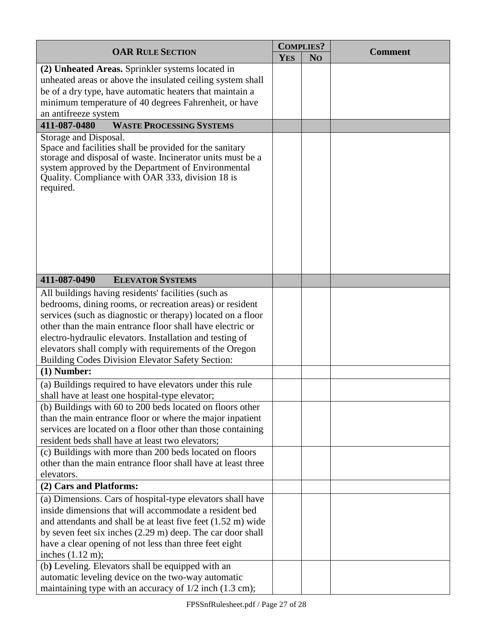| <b>OAR RULE SECTION</b>                                                                                                                                                                                                                                                                                                                                                                                                                                                                                                                                                                                                                                                                                                                                                                                   | <b>COMPLIES?</b> |                |                |
|-----------------------------------------------------------------------------------------------------------------------------------------------------------------------------------------------------------------------------------------------------------------------------------------------------------------------------------------------------------------------------------------------------------------------------------------------------------------------------------------------------------------------------------------------------------------------------------------------------------------------------------------------------------------------------------------------------------------------------------------------------------------------------------------------------------|------------------|----------------|----------------|
|                                                                                                                                                                                                                                                                                                                                                                                                                                                                                                                                                                                                                                                                                                                                                                                                           | <b>YES</b>       | N <sub>O</sub> | <b>Comment</b> |
| (2) Unheated Areas. Sprinkler systems located in<br>unheated areas or above the insulated ceiling system shall<br>be of a dry type, have automatic heaters that maintain a<br>minimum temperature of 40 degrees Fahrenheit, or have<br>an antifreeze system                                                                                                                                                                                                                                                                                                                                                                                                                                                                                                                                               |                  |                |                |
| 411-087-0480<br><b>WASTE PROCESSING SYSTEMS</b>                                                                                                                                                                                                                                                                                                                                                                                                                                                                                                                                                                                                                                                                                                                                                           |                  |                |                |
| Storage and Disposal.<br>Space and facilities shall be provided for the sanitary<br>storage and disposal of waste. Incinerator units must be a<br>system approved by the Department of Environmental<br>Quality. Compliance with OAR 333, division 18 is<br>required.                                                                                                                                                                                                                                                                                                                                                                                                                                                                                                                                     |                  |                |                |
| 411-087-0490<br><b>ELEVATOR SYSTEMS</b>                                                                                                                                                                                                                                                                                                                                                                                                                                                                                                                                                                                                                                                                                                                                                                   |                  |                |                |
| All buildings having residents' facilities (such as<br>bedrooms, dining rooms, or recreation areas) or resident<br>services (such as diagnostic or therapy) located on a floor<br>other than the main entrance floor shall have electric or<br>electro-hydraulic elevators. Installation and testing of<br>elevators shall comply with requirements of the Oregon<br><b>Building Codes Division Elevator Safety Section:</b><br>$(1)$ Number:<br>(a) Buildings required to have elevators under this rule<br>shall have at least one hospital-type elevator;<br>(b) Buildings with 60 to 200 beds located on floors other<br>than the main entrance floor or where the major inpatient<br>services are located on a floor other than those containing<br>resident beds shall have at least two elevators; |                  |                |                |
| (c) Buildings with more than 200 beds located on floors<br>other than the main entrance floor shall have at least three<br>elevators.                                                                                                                                                                                                                                                                                                                                                                                                                                                                                                                                                                                                                                                                     |                  |                |                |
| (2) Cars and Platforms:                                                                                                                                                                                                                                                                                                                                                                                                                                                                                                                                                                                                                                                                                                                                                                                   |                  |                |                |
| (a) Dimensions. Cars of hospital-type elevators shall have<br>inside dimensions that will accommodate a resident bed<br>and attendants and shall be at least five feet $(1.52 \text{ m})$ wide<br>by seven feet six inches (2.29 m) deep. The car door shall<br>have a clear opening of not less than three feet eight<br>inches $(1.12 \text{ m})$ ;<br>(b) Leveling. Elevators shall be equipped with an                                                                                                                                                                                                                                                                                                                                                                                                |                  |                |                |
| automatic leveling device on the two-way automatic<br>maintaining type with an accuracy of $1/2$ inch $(1.3 \text{ cm})$ ;                                                                                                                                                                                                                                                                                                                                                                                                                                                                                                                                                                                                                                                                                |                  |                |                |